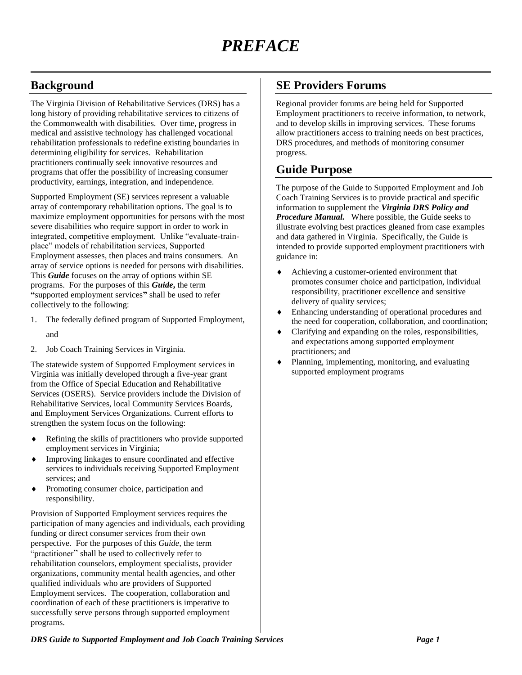## **Background**

The Virginia Division of Rehabilitative Services (DRS) has a long history of providing rehabilitative services to citizens of the Commonwealth with disabilities. Over time, progress in medical and assistive technology has challenged vocational rehabilitation professionals to redefine existing boundaries in determining eligibility for services. Rehabilitation practitioners continually seek innovative resources and programs that offer the possibility of increasing consumer productivity, earnings, integration, and independence.

Supported Employment (SE) services represent a valuable array of contemporary rehabilitation options. The goal is to maximize employment opportunities for persons with the most severe disabilities who require support in order to work in integrated, competitive employment. Unlike "evaluate-trainplace" models of rehabilitation services, Supported Employment assesses, then places and trains consumers. An array of service options is needed for persons with disabilities. This *Guide* focuses on the array of options within SE programs. For the purposes of this *Guide***,** the term **"**supported employment services**"** shall be used to refer collectively to the following:

- 1. The federally defined program of Supported Employment,
	- and
- 2. Job Coach Training Services in Virginia.

The statewide system of Supported Employment services in Virginia was initially developed through a five-year grant from the Office of Special Education and Rehabilitative Services (OSERS). Service providers include the Division of Rehabilitative Services, local Community Services Boards, and Employment Services Organizations. Current efforts to strengthen the system focus on the following:

- Refining the skills of practitioners who provide supported employment services in Virginia;
- Improving linkages to ensure coordinated and effective services to individuals receiving Supported Employment services; and
- Promoting consumer choice, participation and responsibility.

Provision of Supported Employment services requires the participation of many agencies and individuals, each providing funding or direct consumer services from their own perspective. For the purposes of this *Guide,* the term "practitioner" shall be used to collectively refer to rehabilitation counselors, employment specialists, provider organizations, community mental health agencies, and other qualified individuals who are providers of Supported Employment services. The cooperation, collaboration and coordination of each of these practitioners is imperative to successfully serve persons through supported employment programs.

#### **SE Providers Forums**

Regional provider forums are being held for Supported Employment practitioners to receive information, to network, and to develop skills in improving services. These forums allow practitioners access to training needs on best practices, DRS procedures, and methods of monitoring consumer progress.

### **Guide Purpose**

The purpose of the Guide to Supported Employment and Job Coach Training Services is to provide practical and specific information to supplement the *Virginia DRS Policy and Procedure Manual.* Where possible, the Guide seeks to illustrate evolving best practices gleaned from case examples and data gathered in Virginia. Specifically, the Guide is intended to provide supported employment practitioners with guidance in:

- Achieving a customer-oriented environment that promotes consumer choice and participation, individual responsibility, practitioner excellence and sensitive delivery of quality services;
- Enhancing understanding of operational procedures and the need for cooperation, collaboration, and coordination;
- Clarifying and expanding on the roles, responsibilities, and expectations among supported employment practitioners; and
- Planning, implementing, monitoring, and evaluating supported employment programs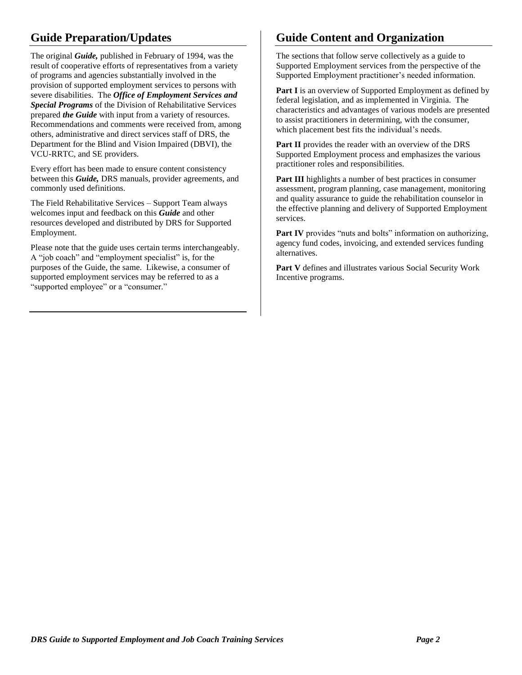# **Guide Preparation/Updates**

The original *Guide,* published in February of 1994, was the result of cooperative efforts of representatives from a variety of programs and agencies substantially involved in the provision of supported employment services to persons with severe disabilities. The *Office of Employment Services and Special Programs* of the Division of Rehabilitative Services prepared *the Guide* with input from a variety of resources. Recommendations and comments were received from, among others, administrative and direct services staff of DRS, the Department for the Blind and Vision Impaired (DBVI), the VCU-RRTC, and SE providers.

Every effort has been made to ensure content consistency between this *Guide,* DRS manuals, provider agreements, and commonly used definitions.

The Field Rehabilitative Services – Support Team always welcomes input and feedback on this *Guide* and other resources developed and distributed by DRS for Supported Employment.

Please note that the guide uses certain terms interchangeably. A "job coach" and "employment specialist" is, for the purposes of the Guide, the same. Likewise, a consumer of supported employment services may be referred to as a "supported employee" or a "consumer."

# **Guide Content and Organization**

The sections that follow serve collectively as a guide to Supported Employment services from the perspective of the Supported Employment practitioner's needed information.

Part I is an overview of Supported Employment as defined by federal legislation, and as implemented in Virginia. The characteristics and advantages of various models are presented to assist practitioners in determining, with the consumer, which placement best fits the individual's needs.

**Part II** provides the reader with an overview of the DRS Supported Employment process and emphasizes the various practitioner roles and responsibilities.

**Part III** highlights a number of best practices in consumer assessment, program planning, case management, monitoring and quality assurance to guide the rehabilitation counselor in the effective planning and delivery of Supported Employment services.

**Part IV** provides "nuts and bolts" information on authorizing, agency fund codes, invoicing, and extended services funding alternatives.

**Part V** defines and illustrates various Social Security Work Incentive programs.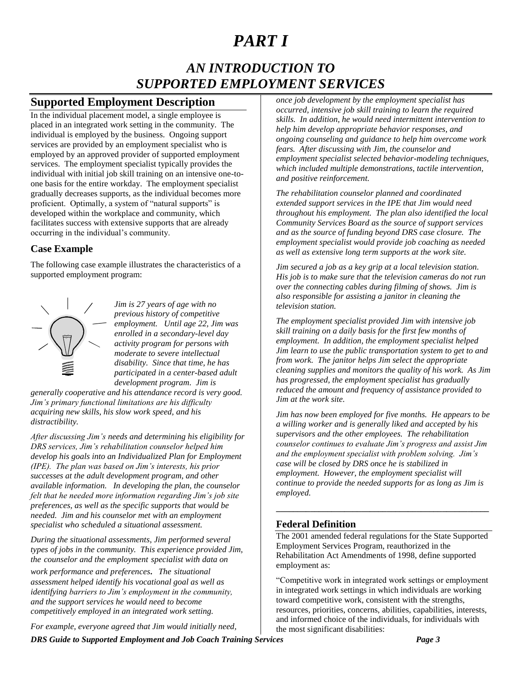# *PART I*

# *AN INTRODUCTION TO SUPPORTED EMPLOYMENT SERVICES*

## **Supported Employment Description**

In the individual placement model, a single employee is placed in an integrated work setting in the community. The individual is employed by the business. Ongoing support services are provided by an employment specialist who is employed by an approved provider of supported employment services. The employment specialist typically provides the individual with initial job skill training on an intensive one-toone basis for the entire workday. The employment specialist gradually decreases supports, as the individual becomes more proficient. Optimally, a system of "natural supports" is developed within the workplace and community, which facilitates success with extensive supports that are already occurring in the individual's community.

#### **Case Example**

The following case example illustrates the characteristics of a supported employment program:



*Jim is 27 years of age with no previous history of competitive employment. Until age 22, Jim was enrolled in a secondary-level day activity program for persons with moderate to severe intellectual disability. Since that time, he has participated in a center-based adult development program. Jim is* 

*generally cooperative and his attendance record is very good. Jim's primary functional limitations are his difficulty acquiring new skills, his slow work speed, and his distractibility.*

*After discussing Jim's needs and determining his eligibility for DRS services, Jim's rehabilitation counselor helped him develop his goals into an Individualized Plan for Employment (IPE). The plan was based on Jim's interests, his prior successes at the adult development program, and other available information. In developing the plan, the counselor felt that he needed more information regarding Jim's job site preferences, as well as the specific supports that would be needed. Jim and his counselor met with an employment specialist who scheduled a situational assessment.*

*During the situational assessments, Jim performed several types of jobs in the community. This experience provided Jim, the counselor and the employment specialist with data on* 

*work performance and preferences. The situational assessment helped identify his vocational goal as well as identifying barriers to Jim's employment in the community, and the support services he would need to become competitively employed in an integrated work setting.*

*For example, everyone agreed that Jim would initially need,* 

*once job development by the employment specialist has occurred, intensive job skill training to learn the required skills. In addition, he would need intermittent intervention to help him develop appropriate behavior responses, and ongoing counseling and guidance to help him overcome work fears. After discussing with Jim, the counselor and employment specialist selected behavior-modeling techniques, which included multiple demonstrations, tactile intervention, and positive reinforcement.*

*The rehabilitation counselor planned and coordinated extended support services in the IPE that Jim would need throughout his employment. The plan also identified the local Community Services Board as the source of support services and as the source of funding beyond DRS case closure. The employment specialist would provide job coaching as needed as well as extensive long term supports at the work site.*

*Jim secured a job as a key grip at a local television station. His job is to make sure that the television cameras do not run over the connecting cables during filming of shows. Jim is also responsible for assisting a janitor in cleaning the television station.*

*The employment specialist provided Jim with intensive job skill training on a daily basis for the first few months of employment. In addition, the employment specialist helped Jim learn to use the public transportation system to get to and from work. The janitor helps Jim select the appropriate cleaning supplies and monitors the quality of his work. As Jim has progressed, the employment specialist has gradually reduced the amount and frequency of assistance provided to Jim at the work site.*

*Jim has now been employed for five months. He appears to be a willing worker and is generally liked and accepted by his supervisors and the other employees. The rehabilitation counselor continues to evaluate Jim's progress and assist Jim and the employment specialist with problem solving. Jim's case will be closed by DRS once he is stabilized in employment. However, the employment specialist will continue to provide the needed supports for as long as Jim is employed.*

#### **Federal Definition**

The 2001 amended federal regulations for the State Supported Employment Services Program, reauthorized in the Rehabilitation Act Amendments of 1998, define supported employment as:

**\_\_\_\_\_\_\_\_\_\_\_\_\_\_\_\_\_\_\_\_\_\_\_\_\_\_\_\_\_\_\_\_\_\_\_\_\_\_\_\_\_\_\_\_\_\_\_\_\_\_**

"Competitive work in integrated work settings or employment in integrated work settings in which individuals are working toward competitive work, consistent with the strengths, resources, priorities, concerns, abilities, capabilities, interests, and informed choice of the individuals, for individuals with the most significant disabilities:

*DRS Guide to Supported Employment and Job Coach Training Services Page 3*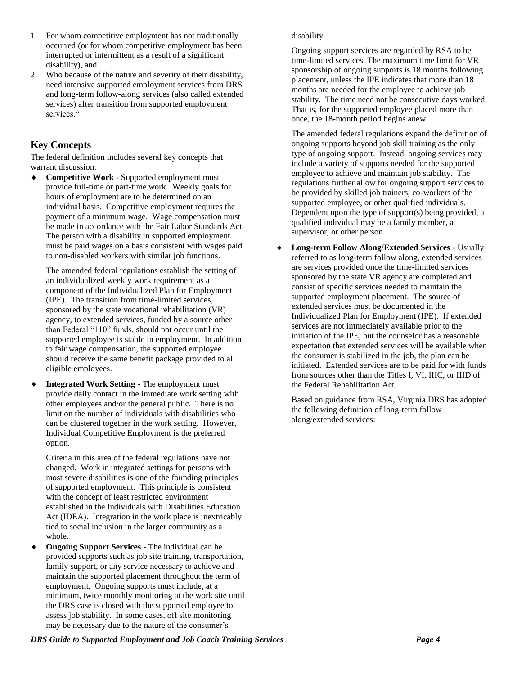- 1. For whom competitive employment has not traditionally occurred (or for whom competitive employment has been interrupted or intermittent as a result of a significant disability), and
- 2. Who because of the nature and severity of their disability, need intensive supported employment services from DRS and long-term follow-along services (also called extended services) after transition from supported employment services."

#### **Key Concepts**

The federal definition includes several key concepts that warrant discussion:

 **Competitive Work** - Supported employment must provide full-time or part-time work. Weekly goals for hours of employment are to be determined on an individual basis. Competitive employment requires the payment of a minimum wage. Wage compensation must be made in accordance with the Fair Labor Standards Act. The person with a disability in supported employment must be paid wages on a basis consistent with wages paid to non-disabled workers with similar job functions.

The amended federal regulations establish the setting of an individualized weekly work requirement as a component of the Individualized Plan for Employment (IPE). The transition from time-limited services, sponsored by the state vocational rehabilitation (VR) agency, to extended services, funded by a source other than Federal "110" funds, should not occur until the supported employee is stable in employment. In addition to fair wage compensation, the supported employee should receive the same benefit package provided to all eligible employees.

 **Integrated Work Setting** - The employment must provide daily contact in the immediate work setting with other employees and/or the general public. There is no limit on the number of individuals with disabilities who can be clustered together in the work setting. However, Individual Competitive Employment is the preferred option.

Criteria in this area of the federal regulations have not changed. Work in integrated settings for persons with most severe disabilities is one of the founding principles of supported employment. This principle is consistent with the concept of least restricted environment established in the Individuals with Disabilities Education Act (IDEA). Integration in the work place is inextricably tied to social inclusion in the larger community as a whole.

 **Ongoing Support Services** - The individual can be provided supports such as job site training, transportation, family support, or any service necessary to achieve and maintain the supported placement throughout the term of employment. Ongoing supports must include, at a minimum, twice monthly monitoring at the work site until the DRS case is closed with the supported employee to assess job stability. In some cases, off site monitoring may be necessary due to the nature of the consumer's

#### disability.

Ongoing support services are regarded by RSA to be time-limited services. The maximum time limit for VR sponsorship of ongoing supports is 18 months following placement, unless the IPE indicates that more than 18 months are needed for the employee to achieve job stability. The time need not be consecutive days worked. That is, for the supported employee placed more than once, the 18-month period begins anew.

The amended federal regulations expand the definition of ongoing supports beyond job skill training as the only type of ongoing support. Instead, ongoing services may include a variety of supports needed for the supported employee to achieve and maintain job stability. The regulations further allow for ongoing support services to be provided by skilled job trainers, co-workers of the supported employee, or other qualified individuals. Dependent upon the type of support(s) being provided, a qualified individual may be a family member, a supervisor, or other person.

 **Long-term Follow Along/Extended Services** - Usually referred to as long-term follow along, extended services are services provided once the time-limited services sponsored by the state VR agency are completed and consist of specific services needed to maintain the supported employment placement. The source of extended services must be documented in the Individualized Plan for Employment (IPE). If extended services are not immediately available prior to the initiation of the IPE, but the counselor has a reasonable expectation that extended services will be available when the consumer is stabilized in the job, the plan can be initiated. Extended services are to be paid for with funds from sources other than the Titles I, VI, IIIC, or IIID of the Federal Rehabilitation Act.

Based on guidance from RSA, Virginia DRS has adopted the following definition of long-term follow along/extended services: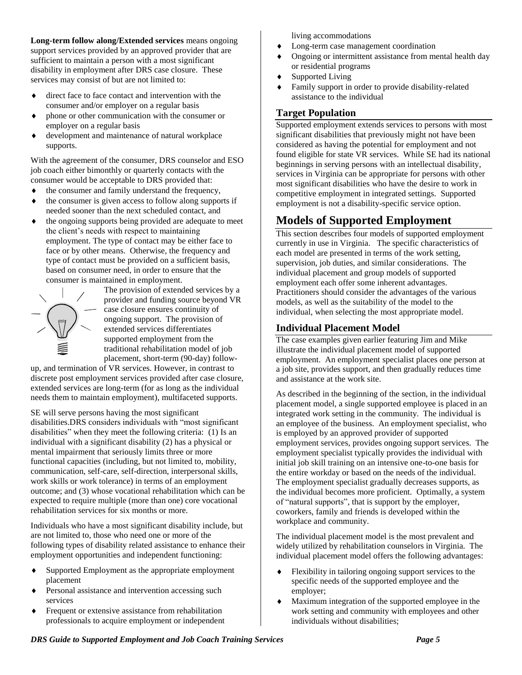**Long-term follow along/Extended services** means ongoing support services provided by an approved provider that are sufficient to maintain a person with a most significant disability in employment after DRS case closure. These services may consist of but are not limited to:

- direct face to face contact and intervention with the consumer and/or employer on a regular basis
- phone or other communication with the consumer or employer on a regular basis
- development and maintenance of natural workplace supports.

With the agreement of the consumer, DRS counselor and ESO job coach either bimonthly or quarterly contacts with the consumer would be acceptable to DRS provided that:

- $\bullet$  the consumer and family understand the frequency,
- the consumer is given access to follow along supports if needed sooner than the next scheduled contact, and
- the ongoing supports being provided are adequate to meet the client's needs with respect to maintaining employment. The type of contact may be either face to face or by other means. Otherwise, the frequency and type of contact must be provided on a sufficient basis, based on consumer need, in order to ensure that the consumer is maintained in employment.



The provision of extended services by a provider and funding source beyond VR case closure ensures continuity of ongoing support. The provision of extended services differentiates supported employment from the traditional rehabilitation model of job placement, short-term (90-day) follow-

up, and termination of VR services. However, in contrast to discrete post employment services provided after case closure, extended services are long-term (for as long as the individual needs them to maintain employment), multifaceted supports.

SE will serve persons having the most significant disabilities.DRS considers individuals with "most significant disabilities" when they meet the following criteria: (1) Is an individual with a significant disability (2) has a physical or mental impairment that seriously limits three or more functional capacities (including, but not limited to, mobility, communication, self-care, self-direction, interpersonal skills, work skills or work tolerance) in terms of an employment outcome; and (3) whose vocational rehabilitation which can be expected to require multiple (more than one) core vocational rehabilitation services for six months or more.

Individuals who have a most significant disability include, but are not limited to, those who need one or more of the following types of disability related assistance to enhance their employment opportunities and independent functioning:

- Supported Employment as the appropriate employment placement
- Personal assistance and intervention accessing such services
- Frequent or extensive assistance from rehabilitation professionals to acquire employment or independent

living accommodations

- Long-term case management coordination
- Ongoing or intermittent assistance from mental health day or residential programs
- Supported Living
- Family support in order to provide disability-related assistance to the individual

#### **Target Population**

Supported employment extends services to persons with most significant disabilities that previously might not have been considered as having the potential for employment and not found eligible for state VR services. While SE had its national beginnings in serving persons with an intellectual disability, services in Virginia can be appropriate for persons with other most significant disabilities who have the desire to work in competitive employment in integrated settings. Supported employment is not a disability-specific service option.

# **Models of Supported Employment**

This section describes four models of supported employment currently in use in Virginia. The specific characteristics of each model are presented in terms of the work setting, supervision, job duties, and similar considerations. The individual placement and group models of supported employment each offer some inherent advantages. Practitioners should consider the advantages of the various models, as well as the suitability of the model to the individual, when selecting the most appropriate model.

#### **Individual Placement Model**

The case examples given earlier featuring Jim and Mike illustrate the individual placement model of supported employment. An employment specialist places one person at a job site, provides support, and then gradually reduces time and assistance at the work site.

As described in the beginning of the section, in the individual placement model, a single supported employee is placed in an integrated work setting in the community. The individual is an employee of the business. An employment specialist, who is employed by an approved provider of supported employment services, provides ongoing support services. The employment specialist typically provides the individual with initial job skill training on an intensive one-to-one basis for the entire workday or based on the needs of the individual. The employment specialist gradually decreases supports, as the individual becomes more proficient. Optimally, a system of "natural supports", that is support by the employer, coworkers, family and friends is developed within the workplace and community.

The individual placement model is the most prevalent and widely utilized by rehabilitation counselors in Virginia. The individual placement model offers the following advantages:

- Flexibility in tailoring ongoing support services to the specific needs of the supported employee and the employer;
- Maximum integration of the supported employee in the work setting and community with employees and other individuals without disabilities;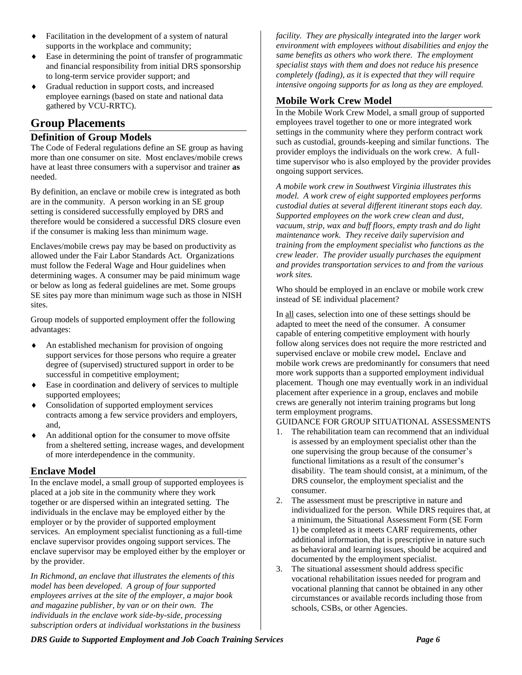- Facilitation in the development of a system of natural supports in the workplace and community;
- Ease in determining the point of transfer of programmatic and financial responsibility from initial DRS sponsorship to long-term service provider support; and
- Gradual reduction in support costs, and increased employee earnings (based on state and national data gathered by VCU-RRTC).

## **Group Placements**

#### **Definition of Group Models**

The Code of Federal regulations define an SE group as having more than one consumer on site. Most enclaves/mobile crews have at least three consumers with a supervisor and trainer **as**  needed.

By definition, an enclave or mobile crew is integrated as both are in the community. A person working in an SE group setting is considered successfully employed by DRS and therefore would be considered a successful DRS closure even if the consumer is making less than minimum wage.

Enclaves/mobile crews pay may be based on productivity as allowed under the Fair Labor Standards Act. Organizations must follow the Federal Wage and Hour guidelines when determining wages. A consumer may be paid minimum wage or below as long as federal guidelines are met. Some groups SE sites pay more than minimum wage such as those in NISH sites.

Group models of supported employment offer the following advantages:

- An established mechanism for provision of ongoing support services for those persons who require a greater degree of (supervised) structured support in order to be successful in competitive employment;
- Ease in coordination and delivery of services to multiple supported employees;
- Consolidation of supported employment services contracts among a few service providers and employers, and,
- An additional option for the consumer to move offsite from a sheltered setting, increase wages, and development of more interdependence in the community.

#### **Enclave Model**

In the enclave model, a small group of supported employees is placed at a job site in the community where they work together or are dispersed within an integrated setting. The individuals in the enclave may be employed either by the employer or by the provider of supported employment services. An employment specialist functioning as a full-time enclave supervisor provides ongoing support services. The enclave supervisor may be employed either by the employer or by the provider.

*In Richmond, an enclave that illustrates the elements of this model has been developed. A group of four supported employees arrives at the site of the employer, a major book and magazine publisher, by van or on their own. The individuals in the enclave work side-by-side, processing subscription orders at individual workstations in the business*  *facility. They are physically integrated into the larger work environment with employees without disabilities and enjoy the same benefits as others who work there. The employment specialist stays with them and does not reduce his presence completely (fading), as it is expected that they will require intensive ongoing supports for as long as they are employed.*

#### **Mobile Work Crew Model**

In the Mobile Work Crew Model, a small group of supported employees travel together to one or more integrated work settings in the community where they perform contract work such as custodial, grounds-keeping and similar functions. The provider employs the individuals on the work crew. A fulltime supervisor who is also employed by the provider provides ongoing support services.

*A mobile work crew in Southwest Virginia illustrates this model. A work crew of eight supported employees performs custodial duties at several different itinerant stops each day. Supported employees on the work crew clean and dust, vacuum, strip, wax and buff floors, empty trash and do light maintenance work. They receive daily supervision and training from the employment specialist who functions as the crew leader. The provider usually purchases the equipment and provides transportation services to and from the various work sites.*

Who should be employed in an enclave or mobile work crew instead of SE individual placement?

In all cases, selection into one of these settings should be adapted to meet the need of the consumer. A consumer capable of entering competitive employment with hourly follow along services does not require the more restricted and supervised enclave or mobile crew model**.** Enclave and mobile work crews are predominantly for consumers that need more work supports than a supported employment individual placement. Though one may eventually work in an individual placement after experience in a group, enclaves and mobile crews are generally not interim training programs but long term employment programs.

#### GUIDANCE FOR GROUP SITUATIONAL ASSESSMENTS

- 1. The rehabilitation team can recommend that an individual is assessed by an employment specialist other than the one supervising the group because of the consumer's functional limitations as a result of the consumer's disability. The team should consist, at a minimum, of the DRS counselor, the employment specialist and the consumer.
- 2. The assessment must be prescriptive in nature and individualized for the person. While DRS requires that, at a minimum, the Situational Assessment Form (SE Form 1) be completed as it meets CARF requirements, other additional information, that is prescriptive in nature such as behavioral and learning issues, should be acquired and documented by the employment specialist.
- 3. The situational assessment should address specific vocational rehabilitation issues needed for program and vocational planning that cannot be obtained in any other circumstances or available records including those from schools, CSBs, or other Agencies.

*DRS Guide to Supported Employment and Job Coach Training Services Page 6*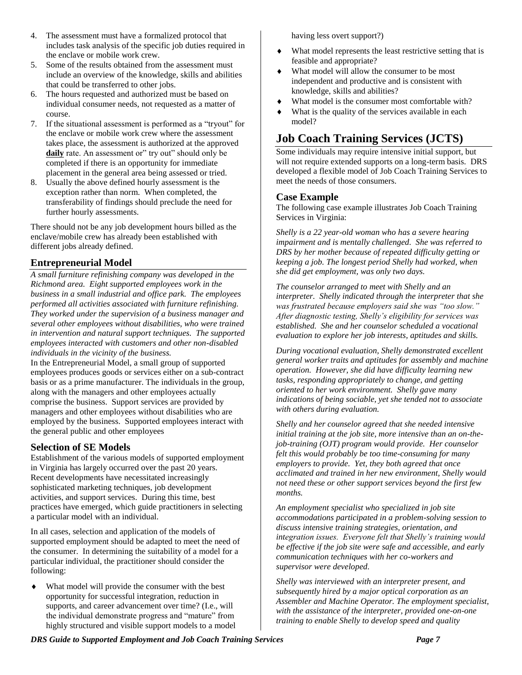- 4. The assessment must have a formalized protocol that includes task analysis of the specific job duties required in the enclave or mobile work crew.
- 5. Some of the results obtained from the assessment must include an overview of the knowledge, skills and abilities that could be transferred to other jobs.
- 6. The hours requested and authorized must be based on individual consumer needs, not requested as a matter of course.
- 7. If the situational assessment is performed as a "tryout" for the enclave or mobile work crew where the assessment takes place, the assessment is authorized at the approved daily rate. An assessment or" try out" should only be completed if there is an opportunity for immediate placement in the general area being assessed or tried.
- 8. Usually the above defined hourly assessment is the exception rather than norm. When completed, the transferability of findings should preclude the need for further hourly assessments.

There should not be any job development hours billed as the enclave/mobile crew has already been established with different jobs already defined.

#### **Entrepreneurial Model**

*A small furniture refinishing company was developed in the Richmond area. Eight supported employees work in the business in a small industrial and office park. The employees performed all activities associated with furniture refinishing. They worked under the supervision of a business manager and several other employees without disabilities, who were trained in intervention and natural support techniques. The supported employees interacted with customers and other non-disabled individuals in the vicinity of the business.*

In the Entrepreneurial Model, a small group of supported employees produces goods or services either on a sub-contract basis or as a prime manufacturer. The individuals in the group, along with the managers and other employees actually comprise the business. Support services are provided by managers and other employees without disabilities who are employed by the business. Supported employees interact with the general public and other employees

#### **Selection of SE Models**

Establishment of the various models of supported employment in Virginia has largely occurred over the past 20 years. Recent developments have necessitated increasingly sophisticated marketing techniques, job development activities, and support services. During this time, best practices have emerged, which guide practitioners in selecting a particular model with an individual.

In all cases, selection and application of the models of supported employment should be adapted to meet the need of the consumer. In determining the suitability of a model for a particular individual, the practitioner should consider the following:

 What model will provide the consumer with the best opportunity for successful integration, reduction in supports, and career advancement over time? (I.e., will the individual demonstrate progress and "mature" from highly structured and visible support models to a model having less overt support?)

- What model represents the least restrictive setting that is feasible and appropriate?
- What model will allow the consumer to be most independent and productive and is consistent with knowledge, skills and abilities?
- What model is the consumer most comfortable with?
- What is the quality of the services available in each model?

# **Job Coach Training Services (JCTS)**

Some individuals may require intensive initial support, but will not require extended supports on a long-term basis. DRS developed a flexible model of Job Coach Training Services to meet the needs of those consumers.

#### **Case Example**

The following case example illustrates Job Coach Training Services in Virginia:

*Shelly is a 22 year-old woman who has a severe hearing impairment and is mentally challenged. She was referred to DRS by her mother because of repeated difficulty getting or keeping a job. The longest period Shelly had worked, when she did get employment, was only two days.* 

*The counselor arranged to meet with Shelly and an interpreter. Shelly indicated through the interpreter that she was frustrated because employers said she was "too slow." After diagnostic testing, Shelly's eligibility for services was established. She and her counselor scheduled a vocational evaluation to explore her job interests, aptitudes and skills.*

*During vocational evaluation, Shelly demonstrated excellent general worker traits and aptitudes for assembly and machine operation. However, she did have difficulty learning new tasks, responding appropriately to change, and getting oriented to her work environment. Shelly gave many indications of being sociable, yet she tended not to associate with others during evaluation.*

*Shelly and her counselor agreed that she needed intensive initial training at the job site, more intensive than an on-thejob-training (OJT) program would provide. Her counselor felt this would probably be too time-consuming for many employers to provide. Yet, they both agreed that once acclimated and trained in her new environment, Shelly would not need these or other support services beyond the first few months.*

*An employment specialist who specialized in job site accommodations participated in a problem-solving session to discuss intensive training strategies, orientation, and integration issues. Everyone felt that Shelly's training would be effective if the job site were safe and accessible, and early communication techniques with her co-workers and supervisor were developed.*

*Shelly was interviewed with an interpreter present, and subsequently hired by a major optical corporation as an Assembler and Machine Operator. The employment specialist, with the assistance of the interpreter, provided one-on-one training to enable Shelly to develop speed and quality*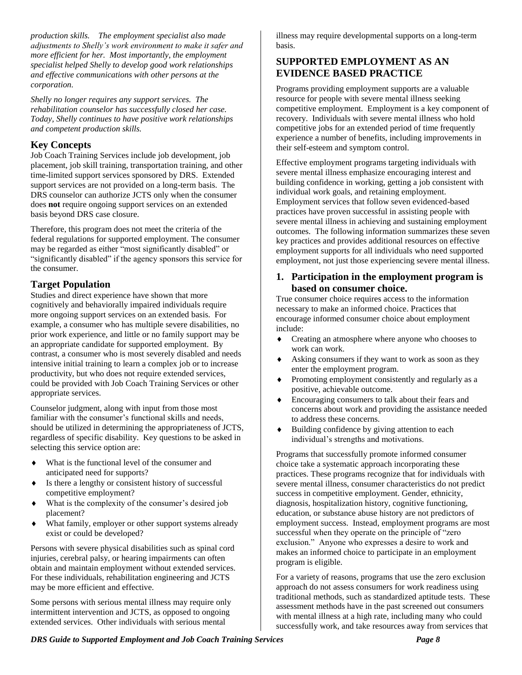*production skills. The employment specialist also made adjustments to Shelly's work environment to make it safer and more efficient for her. Most importantly, the employment specialist helped Shelly to develop good work relationships and effective communications with other persons at the corporation.*

*Shelly no longer requires any support services. The rehabilitation counselor has successfully closed her case. Today, Shelly continues to have positive work relationships and competent production skills.*

#### **Key Concepts**

Job Coach Training Services include job development, job placement, job skill training, transportation training, and other time-limited support services sponsored by DRS. Extended support services are not provided on a long-term basis. The DRS counselor can authorize JCTS only when the consumer does **not** require ongoing support services on an extended basis beyond DRS case closure.

Therefore, this program does not meet the criteria of the federal regulations for supported employment. The consumer may be regarded as either "most significantly disabled" or "significantly disabled" if the agency sponsors this service for the consumer.

#### **Target Population**

Studies and direct experience have shown that more cognitively and behaviorally impaired individuals require more ongoing support services on an extended basis. For example, a consumer who has multiple severe disabilities, no prior work experience, and little or no family support may be an appropriate candidate for supported employment. By contrast, a consumer who is most severely disabled and needs intensive initial training to learn a complex job or to increase productivity, but who does not require extended services, could be provided with Job Coach Training Services or other appropriate services.

Counselor judgment, along with input from those most familiar with the consumer's functional skills and needs, should be utilized in determining the appropriateness of JCTS, regardless of specific disability. Key questions to be asked in selecting this service option are:

- What is the functional level of the consumer and anticipated need for supports?
- Is there a lengthy or consistent history of successful competitive employment?
- What is the complexity of the consumer's desired job placement?
- What family, employer or other support systems already exist or could be developed?

Persons with severe physical disabilities such as spinal cord injuries, cerebral palsy, or hearing impairments can often obtain and maintain employment without extended services. For these individuals, rehabilitation engineering and JCTS may be more efficient and effective.

Some persons with serious mental illness may require only intermittent intervention and JCTS, as opposed to ongoing extended services. Other individuals with serious mental

illness may require developmental supports on a long-term basis.

#### **SUPPORTED EMPLOYMENT AS AN EVIDENCE BASED PRACTICE**

Programs providing employment supports are a valuable resource for people with severe mental illness seeking competitive employment. Employment is a key component of recovery. Individuals with severe mental illness who hold competitive jobs for an extended period of time frequently experience a number of benefits, including improvements in their self-esteem and symptom control.

Effective employment programs targeting individuals with severe mental illness emphasize encouraging interest and building confidence in working, getting a job consistent with individual work goals, and retaining employment. Employment services that follow seven evidenced-based practices have proven successful in assisting people with severe mental illness in achieving and sustaining employment outcomes. The following information summarizes these seven key practices and provides additional resources on effective employment supports for all individuals who need supported employment, not just those experiencing severe mental illness.

#### **1. Participation in the employment program is based on consumer choice.**

True consumer choice requires access to the information necessary to make an informed choice. Practices that encourage informed consumer choice about employment include:

- Creating an atmosphere where anyone who chooses to work can work.
- Asking consumers if they want to work as soon as they enter the employment program.
- Promoting employment consistently and regularly as a positive, achievable outcome.
- Encouraging consumers to talk about their fears and concerns about work and providing the assistance needed to address these concerns.
- Building confidence by giving attention to each individual's strengths and motivations.

Programs that successfully promote informed consumer choice take a systematic approach incorporating these practices. These programs recognize that for individuals with severe mental illness, consumer characteristics do not predict success in competitive employment. Gender, ethnicity, diagnosis, hospitalization history, cognitive functioning, education, or substance abuse history are not predictors of employment success. Instead, employment programs are most successful when they operate on the principle of "zero exclusion." Anyone who expresses a desire to work and makes an informed choice to participate in an employment program is eligible.

For a variety of reasons, programs that use the zero exclusion approach do not assess consumers for work readiness using traditional methods, such as standardized aptitude tests. These assessment methods have in the past screened out consumers with mental illness at a high rate, including many who could successfully work, and take resources away from services that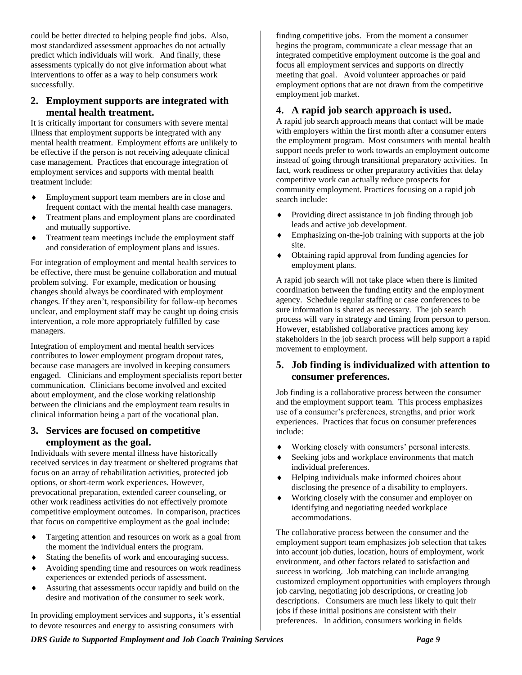could be better directed to helping people find jobs. Also, most standardized assessment approaches do not actually predict which individuals will work. And finally, these assessments typically do not give information about what interventions to offer as a way to help consumers work successfully.

#### **2. Employment supports are integrated with mental health treatment.**

It is critically important for consumers with severe mental illness that employment supports be integrated with any mental health treatment. Employment efforts are unlikely to be effective if the person is not receiving adequate clinical case management. Practices that encourage integration of employment services and supports with mental health treatment include:

- Employment support team members are in close and frequent contact with the mental health case managers.
- Treatment plans and employment plans are coordinated and mutually supportive.
- Treatment team meetings include the employment staff and consideration of employment plans and issues.

For integration of employment and mental health services to be effective, there must be genuine collaboration and mutual problem solving. For example, medication or housing changes should always be coordinated with employment changes. If they aren't, responsibility for follow-up becomes unclear, and employment staff may be caught up doing crisis intervention, a role more appropriately fulfilled by case managers.

Integration of employment and mental health services contributes to lower employment program dropout rates, because case managers are involved in keeping consumers engaged. Clinicians and employment specialists report better communication. Clinicians become involved and excited about employment, and the close working relationship between the clinicians and the employment team results in clinical information being a part of the vocational plan.

#### **3. Services are focused on competitive employment as the goal.**

Individuals with severe mental illness have historically received services in day treatment or sheltered programs that focus on an array of rehabilitation activities, protected job options, or short-term work experiences. However, prevocational preparation, extended career counseling, or other work readiness activities do not effectively promote competitive employment outcomes. In comparison, practices that focus on competitive employment as the goal include:

- Targeting attention and resources on work as a goal from the moment the individual enters the program.
- Stating the benefits of work and encouraging success.
- Avoiding spending time and resources on work readiness experiences or extended periods of assessment.
- Assuring that assessments occur rapidly and build on the desire and motivation of the consumer to seek work.

In providing employment services and supports, it's essential to devote resources and energy to assisting consumers with

finding competitive jobs. From the moment a consumer begins the program, communicate a clear message that an integrated competitive employment outcome is the goal and focus all employment services and supports on directly meeting that goal. Avoid volunteer approaches or paid employment options that are not drawn from the competitive employment job market.

#### **4. A rapid job search approach is used.**

A rapid job search approach means that contact will be made with employers within the first month after a consumer enters the employment program. Most consumers with mental health support needs prefer to work towards an employment outcome instead of going through transitional preparatory activities. In fact, work readiness or other preparatory activities that delay competitive work can actually reduce prospects for community employment. Practices focusing on a rapid job search include:

- Providing direct assistance in job finding through job leads and active job development.
- Emphasizing on-the-job training with supports at the job site.
- Obtaining rapid approval from funding agencies for employment plans.

A rapid job search will not take place when there is limited coordination between the funding entity and the employment agency. Schedule regular staffing or case conferences to be sure information is shared as necessary. The job search process will vary in strategy and timing from person to person. However, established collaborative practices among key stakeholders in the job search process will help support a rapid movement to employment.

#### **5. Job finding is individualized with attention to consumer preferences.**

Job finding is a collaborative process between the consumer and the employment support team. This process emphasizes use of a consumer's preferences, strengths, and prior work experiences. Practices that focus on consumer preferences include:

- Working closely with consumers' personal interests.
- Seeking jobs and workplace environments that match individual preferences.
- Helping individuals make informed choices about disclosing the presence of a disability to employers.
- Working closely with the consumer and employer on identifying and negotiating needed workplace accommodations.

The collaborative process between the consumer and the employment support team emphasizes job selection that takes into account job duties, location, hours of employment, work environment, and other factors related to satisfaction and success in working. Job matching can include arranging customized employment opportunities with employers through job carving, negotiating job descriptions, or creating job descriptions. Consumers are much less likely to quit their jobs if these initial positions are consistent with their preferences. In addition, consumers working in fields

*DRS Guide to Supported Employment and Job Coach Training Services Page 9*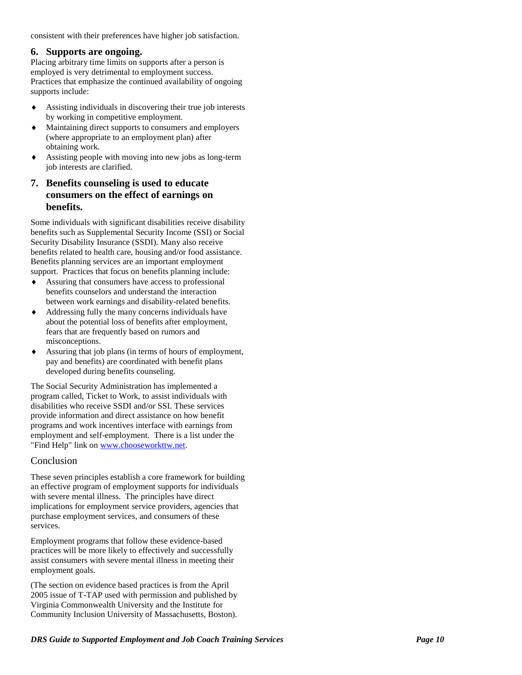consistent with their preferences have higher job satisfaction.

#### **6. Supports are ongoing.**

Placing arbitrary time limits on supports after a person is employed is very detrimental to employment success. Practices that emphasize the continued availability of ongoing supports include:

- Assisting individuals in discovering their true job interests by working in competitive employment.
- Maintaining direct supports to consumers and employers (where appropriate to an employment plan) after obtaining work.
- Assisting people with moving into new jobs as long -term job interests are clarified.

#### **7. Benefits counseling is used to educate consumers on the effect of earnings on benefits.**

Some individuals with significant disabilities receive disability benefits such as Supplemental Security Income (SSI) or Social Security Disability Insurance (SSDI). Many also receive benefits related to health care, housing and/or food assistance. Benefits planning services are an important employment support. Practices that focus on benefits planning include:

- Assuring that consumers have access to professional benefits counselors and understand the interaction between work earnings and disability -related benefits.
- Addressing fully the many concerns individuals have about the potential loss of benefits after employment, fears that are frequently based on rumors and misconceptions.
- Assuring that job plans (in terms of hours of employment, pay and benefits) are coordinated with benefit plans developed during benefits counseling.

The Social Security Administration has implemented a program called, Ticket to Work, to assist individuals with disabilities who receive SSDI and/or SSI. These services provide information and direct assistance on how benefit programs and work incentives interface with earnings from employment and self -employment. There is a list under the "Find Help" link on [www.chooseworkttw.net](http://www.chooseworkttw.net/).

#### Conclusion

These seven principles establish a core framework for building an effective program of employment supports for individuals with severe mental illness. The principles have direct implications for employment service providers, agencies that purchase employment services, and consumers of these services.

Employment programs that follow these evidence -based practices will be more likely to effectively and successfully assist consumers with severe mental illness in meeting their employment goals.

(The section on evidence based practices is from the April 2005 issue of T -TAP used with permission and published by Virginia Commonwealth University and the Institute for Community Inclusion University of Massachusetts, Boston).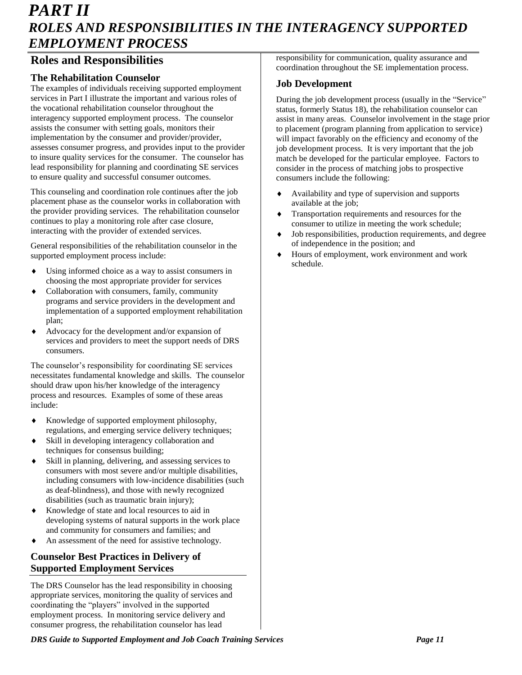# *PART II ROLES AND RESPONSIBILITIES IN THE INTERAGENCY SUPPORTED EMPLOYMENT PROCESS*

## **Roles and Responsibilities**

#### **The Rehabilitation Counselor**

The examples of individuals receiving supported employment services in Part I illustrate the important and various roles of the vocational rehabilitation counselor throughout the interagency supported employment process. The counselor assists the consumer with setting goals, monitors their implementation by the consumer and provider/provider, assesses consumer progress, and provides input to the provider to insure quality services for the consumer. The counselor has lead responsibility for planning and coordinating SE services to ensure quality and successful consumer outcomes.

This counseling and coordination role continues after the job placement phase as the counselor works in collaboration with the provider providing services. The rehabilitation counselor continues to play a monitoring role after case closure, interacting with the provider of extended services.

General responsibilities of the rehabilitation counselor in the supported employment process include:

- Using informed choice as a way to assist consumers in choosing the most appropriate provider for services
- Collaboration with consumers, family, community programs and service providers in the development and implementation of a supported employment rehabilitation plan;
- Advocacy for the development and/or expansion of services and providers to meet the support needs of DRS consumers.

The counselor's responsibility for coordinating SE services necessitates fundamental knowledge and skills. The counselor should draw upon his/her knowledge of the interagency process and resources. Examples of some of these areas include:

- Knowledge of supported employment philosophy, regulations, and emerging service delivery techniques;
- Skill in developing interagency collaboration and techniques for consensus building;
- Skill in planning, delivering, and assessing services to consumers with most severe and/or multiple disabilities, including consumers with low-incidence disabilities (such as deaf-blindness), and those with newly recognized disabilities (such as traumatic brain injury);
- Knowledge of state and local resources to aid in developing systems of natural supports in the work place and community for consumers and families; and
- An assessment of the need for assistive technology.

#### **Counselor Best Practices in Delivery of Supported Employment Services**

The DRS Counselor has the lead responsibility in choosing appropriate services, monitoring the quality of services and coordinating the "players" involved in the supported employment process. In monitoring service delivery and consumer progress, the rehabilitation counselor has lead

responsibility for communication, quality assurance and coordination throughout the SE implementation process.

#### **Job Development**

During the job development process (usually in the "Service" status, formerly Status 18), the rehabilitation counselor can assist in many areas. Counselor involvement in the stage prior to placement (program planning from application to service) will impact favorably on the efficiency and economy of the job development process. It is very important that the job match be developed for the particular employee. Factors to consider in the process of matching jobs to prospective consumers include the following:

- Availability and type of supervision and supports available at the job;
- Transportation requirements and resources for the consumer to utilize in meeting the work schedule;
- Job responsibilities, production requirements, and degree of independence in the position; and
- Hours of employment, work environment and work schedule.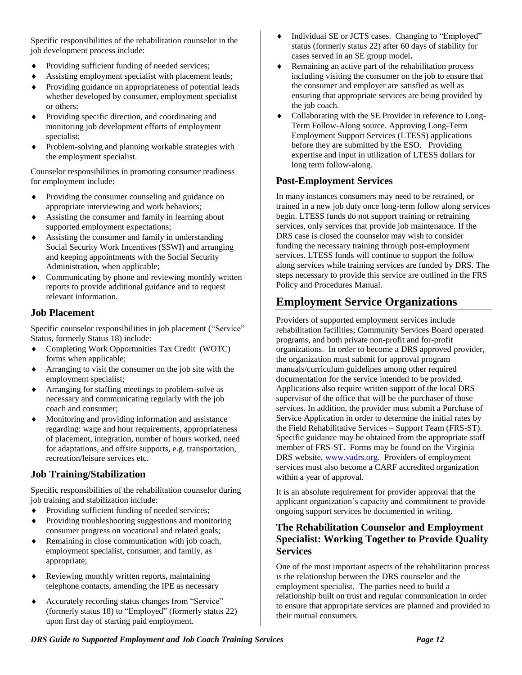Specific responsibilities of the rehabilitation counselor in the job development process include:

- Providing sufficient funding of needed services;
- Assisting employment specialist with placement leads;
- Providing guidance on appropriateness of potential leads whether developed by consumer, employment specialist or others;
- Providing specific direction, and coordinating and monitoring job development efforts of employment specialist;
- Problem-solving and planning workable strategies with the employment specialist.

Counselor responsibilities in promoting consumer readiness for employment include:

- Providing the consumer counseling and guidance on appropriate interviewing and work behaviors;
- Assisting the consumer and family in learning about supported employment expectations;
- Assisting the consumer and family in understanding Social Security Work Incentives (SSWI) and arranging and keeping appointments with the Social Security Administration, when applicable;
- Communicating by phone and reviewing monthly written reports to provide additional guidance and to request relevant information.

#### **Job Placement**

Specific counselor responsibilities in job placement ("Service" Status, formerly Status 18) include:

- Completing Work Opportunities Tax Credit (WOTC) forms when applicable;
- Arranging to visit the consumer on the job site with the employment specialist;
- Arranging for staffing meetings to problem-solve as necessary and communicating regularly with the job coach and consumer;
- Monitoring and providing information and assistance regarding: wage and hour requirements, appropriateness of placement, integration, number of hours worked, need for adaptations, and offsite supports, e.g. transportation, recreation/leisure services etc.

#### **Job Training/Stabilization**

Specific responsibilities of the rehabilitation counselor during job training and stabilization include:

- Providing sufficient funding of needed services;
- Providing troubleshooting suggestions and monitoring consumer progress on vocational and related goals;
- Remaining in close communication with job coach, employment specialist, consumer, and family, as appropriate;
- Reviewing monthly written reports, maintaining telephone contacts, amending the IPE as necessary
- Accurately recording status changes from "Service" (formerly status 18) to "Employed" (formerly status 22) upon first day of starting paid employment.
- $\bullet$  Individual SE or JCTS cases. Changing to "Employed" status (formerly status 22) after 60 days of stability for cases served in an SE group model**.**
- Remaining an active part of the rehabilitation process including visiting the consumer on the job to ensure that the consumer and employer are satisfied as well as ensuring that appropriate services are being provided by the job coach.
- Collaborating with the SE Provider in reference to Long-Term Follow-Along source. Approving Long-Term Employment Support Services (LTESS) applications before they are submitted by the ESO. Providing expertise and input in utilization of LTESS dollars for long term follow-along.

#### **Post-Employment Services**

In many instances consumers may need to be retrained, or trained in a new job duty once long-term follow along services begin. LTESS funds do not support training or retraining services, only services that provide job maintenance. If the DRS case is closed the counselor may wish to consider funding the necessary training through post-employment services. LTESS funds will continue to support the follow along services while training services are funded by DRS. The steps necessary to provide this service are outlined in the FRS Policy and Procedures Manual.

# **Employment Service Organizations**

Providers of supported employment services include rehabilitation facilities; Community Services Board operated programs, and both private non-profit and for-profit organizations. In order to become a DRS approved provider, the organization must submit for approval program manuals/curriculum guidelines among other required documentation for the service intended to be provided. Applications also require written support of the local DRS supervisor of the office that will be the purchaser of those services. In addition, the provider must submit a Purchase of Service Application in order to determine the initial rates by the Field Rehabilitative Services – Support Team (FRS-ST). Specific guidance may be obtained from the appropriate staff member of FRS-ST. Forms may be found on the Virginia DRS website, [www.vadrs.org.](http://www.vadrs.org/) Providers of employment services must also become a CARF accredited organization within a year of approval.

It is an absolute requirement for provider approval that the applicant organization's capacity and commitment to provide ongoing support services be documented in writing.

#### **The Rehabilitation Counselor and Employment Specialist: Working Together to Provide Quality Services**

One of the most important aspects of the rehabilitation process is the relationship between the DRS counselor and the employment specialist. The parties need to build a relationship built on trust and regular communication in order to ensure that appropriate services are planned and provided to their mutual consumers.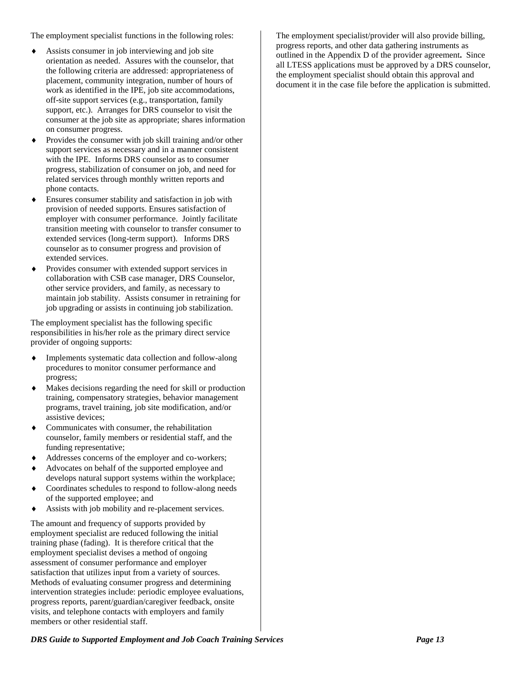The employment specialist functions in the following roles:

- Assists consumer in job interviewing and job site orientation as needed. Assures with the counselor, that the following criteria are addressed: appropriateness of placement, community integration, number of hours of work as identified in the IPE, job site accommodations, off-site support services (e.g., transportation, family support, etc.). Arranges for DRS counselor to visit the consumer at the job site as appropriate; shares information on consumer progress.
- Provides the consumer with job skill training and/or other support services as necessary and in a manner consistent with the IPE. Informs DRS counselor as to consumer progress, stabilization of consumer on job, and need for related services through monthly written reports and phone contacts.
- Ensures consumer stability and satisfaction in job with provision of needed supports. Ensures satisfaction of employer with consumer performance. Jointly facilitate transition meeting with counselor to transfer consumer to extended services (long-term support). Informs DRS counselor as to consumer progress and provision of extended services.
- Provides consumer with extended support services in collaboration with CSB case manager, DRS Counselor, other service providers, and family, as necessary to maintain job stability. Assists consumer in retraining for job upgrading or assists in continuing job stabilization.

The employment specialist has the following specific responsibilities in his/her role as the primary direct service provider of ongoing supports:

- Implements systematic data collection and follow-along procedures to monitor consumer performance and progress;
- Makes decisions regarding the need for skill or production training, compensatory strategies, behavior management programs, travel training, job site modification, and/or assistive devices;
- Communicates with consumer, the rehabilitation counselor, family members or residential staff, and the funding representative;
- Addresses concerns of the employer and co-workers;
- Advocates on behalf of the supported employee and develops natural support systems within the workplace;
- Coordinates schedules to respond to follow-along needs of the supported employee; and
- Assists with job mobility and re-placement services.

The amount and frequency of supports provided by employment specialist are reduced following the initial training phase (fading). It is therefore critical that the employment specialist devises a method of ongoing assessment of consumer performance and employer satisfaction that utilizes input from a variety of sources. Methods of evaluating consumer progress and determining intervention strategies include: periodic employee evaluations, progress reports, parent/guardian/caregiver feedback, onsite visits, and telephone contacts with employers and family members or other residential staff.

The employment specialist/provider will also provide billing, progress reports, and other data gathering instruments as outlined in the Appendix D of the provider agreement**.** Since all LTESS applications must be approved by a DRS counselor, the employment specialist should obtain this approval and document it in the case file before the application is submitted.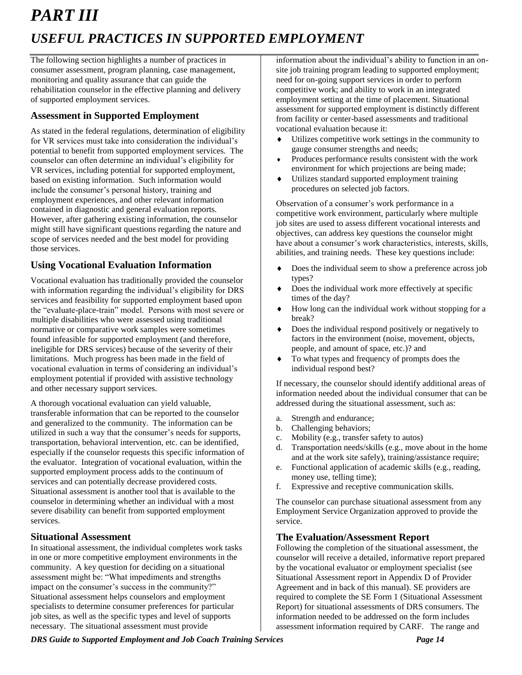# *PART III USEFUL PRACTICES IN SUPPORTED EMPLOYMENT*

The following section highlights a number of practices in consumer assessment, program planning, case management, monitoring and quality assurance that can guide the rehabilitation counselor in the effective planning and delivery of supported employment services.

#### **Assessment in Supported Employment**

As stated in the federal regulations, determination of eligibility for VR services must take into consideration the individual's potential to benefit from supported employment services. The counselor can often determine an individual's eligibility for VR services, including potential for supported employment, based on existing information. Such information would include the consumer's personal history, training and employment experiences, and other relevant information contained in diagnostic and general evaluation reports. However, after gathering existing information, the counselor might still have significant questions regarding the nature and scope of services needed and the best model for providing those services.

#### **Using Vocational Evaluation Information**

Vocational evaluation has traditionally provided the counselor with information regarding the individual's eligibility for DRS services and feasibility for supported employment based upon the "evaluate-place-train" model. Persons with most severe or multiple disabilities who were assessed using traditional normative or comparative work samples were sometimes found infeasible for supported employment (and therefore, ineligible for DRS services) because of the severity of their limitations. Much progress has been made in the field of vocational evaluation in terms of considering an individual's employment potential if provided with assistive technology and other necessary support services.

A thorough vocational evaluation can yield valuable, transferable information that can be reported to the counselor and generalized to the community. The information can be utilized in such a way that the consumer's needs for supports, transportation, behavioral intervention, etc. can be identified, especially if the counselor requests this specific information of the evaluator. Integration of vocational evaluation, within the supported employment process adds to the continuum of services and can potentially decrease providered costs. Situational assessment is another tool that is available to the counselor in determining whether an individual with a most severe disability can benefit from supported employment services.

#### **Situational Assessment**

In situational assessment, the individual completes work tasks in one or more competitive employment environments in the community. A key question for deciding on a situational assessment might be: "What impediments and strengths impact on the consumer's success in the community?" Situational assessment helps counselors and employment specialists to determine consumer preferences for particular job sites, as well as the specific types and level of supports necessary. The situational assessment must provide

information about the individual's ability to function in an onsite job training program leading to supported employment; need for on-going support services in order to perform competitive work; and ability to work in an integrated employment setting at the time of placement. Situational assessment for supported employment is distinctly different from facility or center-based assessments and traditional vocational evaluation because it:

- Utilizes competitive work settings in the community to gauge consumer strengths and needs;
- Produces performance results consistent with the work environment for which projections are being made;
- Utilizes standard supported employment training procedures on selected job factors.

Observation of a consumer's work performance in a competitive work environment, particularly where multiple job sites are used to assess different vocational interests and objectives, can address key questions the counselor might have about a consumer's work characteristics, interests, skills, abilities, and training needs. These key questions include:

- $\bullet$  Does the individual seem to show a preference across job types?
- Does the individual work more effectively at specific times of the day?
- How long can the individual work without stopping for a break?
- Does the individual respond positively or negatively to factors in the environment (noise, movement, objects, people, and amount of space, etc.)? and
- $\bullet$  To what types and frequency of prompts does the individual respond best?

If necessary, the counselor should identify additional areas of information needed about the individual consumer that can be addressed during the situational assessment, such as:

- a. Strength and endurance;
- b. Challenging behaviors;
- c. Mobility (e.g., transfer safety to autos)
- d. Transportation needs/skills (e.g., move about in the home and at the work site safely), training/assistance require;
- e. Functional application of academic skills (e.g., reading, money use, telling time);
- f. Expressive and receptive communication skills.

The counselor can purchase situational assessment from any Employment Service Organization approved to provide the service.

#### **The Evaluation/Assessment Report**

Following the completion of the situational assessment, the counselor will receive a detailed, informative report prepared by the vocational evaluator or employment specialist (see Situational Assessment report in Appendix D of Provider Agreement and in back of this manual). SE providers are required to complete the SE Form 1 (Situational Assessment Report) for situational assessments of DRS consumers. The information needed to be addressed on the form includes assessment information required by CARF. The range and

*DRS Guide to Supported Employment and Job Coach Training Services Page 14*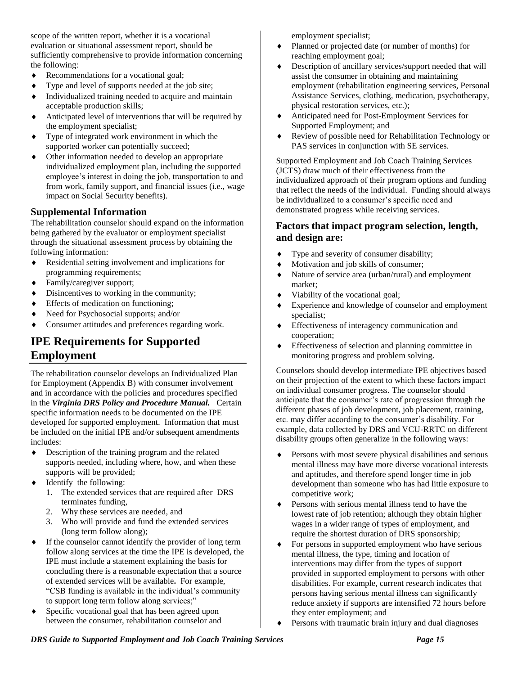scope of the written report, whether it is a vocational evaluation or situational assessment report, should be sufficiently comprehensive to provide information concerning the following:

- Recommendations for a vocational goal;
- Type and level of supports needed at the job site;
- Individualized training needed to acquire and maintain acceptable production skills;
- Anticipated level of interventions that will be required by the employment specialist;
- Type of integrated work environment in which the supported worker can potentially succeed;
- Other information needed to develop an appropriate individualized employment plan, including the supported employee's interest in doing the job, transportation to and from work, family support, and financial issues (i.e., wage impact on Social Security benefits).

#### **Supplemental Information**

The rehabilitation counselor should expand on the information being gathered by the evaluator or employment specialist through the situational assessment process by obtaining the following information:

- Residential setting involvement and implications for programming requirements;
- Family/caregiver support;
- Disincentives to working in the community;
- Effects of medication on functioning;
- Need for Psychosocial supports; and/or
- Consumer attitudes and preferences regarding work.

# **IPE Requirements for Supported Employment**

The rehabilitation counselor develops an Individualized Plan for Employment (Appendix B) with consumer involvement and in accordance with the policies and procedures specified in the *Virginia DRS Policy and Procedure Manual.* Certain specific information needs to be documented on the IPE developed for supported employment. Information that must be included on the initial IPE and/or subsequent amendments includes:

- Description of the training program and the related supports needed, including where, how, and when these supports will be provided;
- Identify the following:
	- 1. The extended services that are required after DRS terminates funding,
	- 2. Why these services are needed, and
	- 3. Who will provide and fund the extended services (long term follow along);
- If the counselor cannot identify the provider of long term follow along services at the time the IPE is developed, the IPE must include a statement explaining the basis for concluding there is a reasonable expectation that a source of extended services will be available**.** For example, "CSB funding is available in the individual's community to support long term follow along services;"
- Specific vocational goal that has been agreed upon between the consumer, rehabilitation counselor and

employment specialist;

- Planned or projected date (or number of months) for reaching employment goal;
- Description of ancillary services/support needed that will assist the consumer in obtaining and maintaining employment (rehabilitation engineering services, Personal Assistance Services, clothing, medication, psychotherapy, physical restoration services, etc.);
- Anticipated need for Post-Employment Services for Supported Employment; and
- Review of possible need for Rehabilitation Technology or PAS services in conjunction with SE services.

Supported Employment and Job Coach Training Services (JCTS) draw much of their effectiveness from the individualized approach of their program options and funding that reflect the needs of the individual. Funding should always be individualized to a consumer's specific need and demonstrated progress while receiving services.

#### **Factors that impact program selection, length, and design are:**

- Type and severity of consumer disability;
- $\bullet$  Motivation and job skills of consumer;
- Nature of service area (urban/rural) and employment market;
- Viability of the vocational goal;
- Experience and knowledge of counselor and employment specialist;
- Effectiveness of interagency communication and cooperation;
- Effectiveness of selection and planning committee in monitoring progress and problem solving.

Counselors should develop intermediate IPE objectives based on their projection of the extent to which these factors impact on individual consumer progress. The counselor should anticipate that the consumer's rate of progression through the different phases of job development, job placement, training, etc. may differ according to the consumer's disability. For example, data collected by DRS and VCU-RRTC on different disability groups often generalize in the following ways:

- Persons with most severe physical disabilities and serious mental illness may have more diverse vocational interests and aptitudes, and therefore spend longer time in job development than someone who has had little exposure to competitive work;
- **Persons with serious mental illness tend to have the** lowest rate of job retention; although they obtain higher wages in a wider range of types of employment, and require the shortest duration of DRS sponsorship;
- For persons in supported employment who have serious mental illness, the type, timing and location of interventions may differ from the types of support provided in supported employment to persons with other disabilities. For example, current research indicates that persons having serious mental illness can significantly reduce anxiety if supports are intensified 72 hours before they enter employment; and
- Persons with traumatic brain injury and dual diagnoses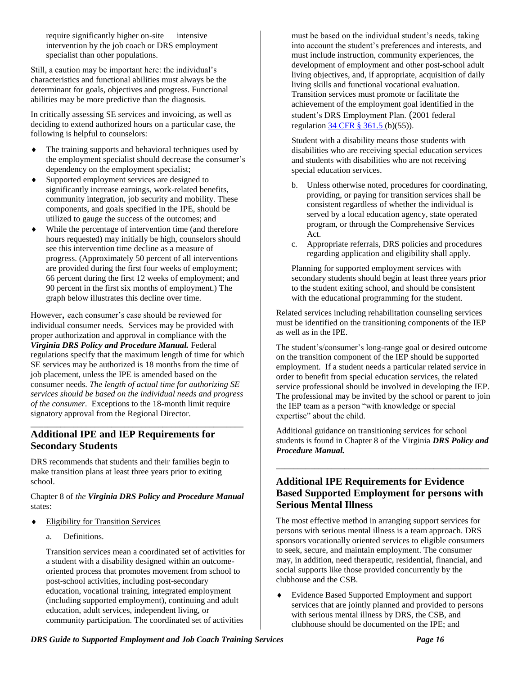require significantly higher on-site intensive intervention by the job coach or DRS employment specialist than other populations.

Still, a caution may be important here: the individual's characteristics and functional abilities must always be the determinant for goals, objectives and progress. Functional abilities may be more predictive than the diagnosis.

In critically assessing SE services and invoicing, as well as deciding to extend authorized hours on a particular case, the following is helpful to counselors:

- The training supports and behavioral techniques used by the employment specialist should decrease the consumer's dependency on the employment specialist;
- Supported employment services are designed to significantly increase earnings, work-related benefits, community integration, job security and mobility. These components, and goals specified in the IPE, should be utilized to gauge the success of the outcomes; and
- While the percentage of intervention time (and therefore hours requested) may initially be high, counselors should see this intervention time decline as a measure of progress. (Approximately 50 percent of all interventions are provided during the first four weeks of employment; 66 percent during the first 12 weeks of employment; and 90 percent in the first six months of employment.) The graph below illustrates this decline over time.

However, each consumer's case should be reviewed for individual consumer needs. Services may be provided with proper authorization and approval in compliance with the *Virginia DRS Policy and Procedure Manual.* Federal regulations specify that the maximum length of time for which SE services may be authorized is 18 months from the time of job placement, unless the IPE is amended based on the consumer needs. *The length of actual time for authorizing SE services should be based on the individual needs and progress of the consumer.* Exceptions to the 18-month limit require signatory approval from the Regional Director.

\_\_\_\_\_\_\_\_\_\_\_\_\_\_\_\_\_\_\_\_\_\_\_\_\_\_\_\_\_\_\_\_\_\_\_\_\_\_\_\_\_\_\_\_\_\_\_\_\_\_

#### **Additional IPE and IEP Requirements for Secondary Students**

DRS recommends that students and their families begin to make transition plans at least three years prior to exiting school.

#### Chapter 8 of *the Virginia DRS Policy and Procedure Manual* states:

- Eligibility for Transition Services
	- a. Definitions.

Transition services mean a coordinated set of activities for a student with a disability designed within an outcomeoriented process that promotes movement from school to post-school activities, including post-secondary education, vocational training, integrated employment (including supported employment), continuing and adult education, adult services, independent living, or community participation. The coordinated set of activities

must be based on the individual student's needs, taking into account the student's preferences and interests, and must include instruction, community experiences, the development of employment and other post-school adult living objectives, and, if appropriate, acquisition of daily living skills and functional vocational evaluation. Transition services must promote or facilitate the achievement of the employment goal identified in the student's DRS Employment Plan. (2001 federal regulation [34 CFR § 361.5 \(](http://frwebgate.access.gpo.gov/cgi-bin/get-cfr.cgi?TITLE=34&PART=361&SECTION=5&YEAR=2001&TYPE=TEXT)b)(55)).

Student with a disability means those students with disabilities who are receiving special education services and students with disabilities who are not receiving special education services.

- b. Unless otherwise noted, procedures for coordinating, providing, or paying for transition services shall be consistent regardless of whether the individual is served by a local education agency, state operated program, or through the Comprehensive Services Act.
- c. Appropriate referrals, DRS policies and procedures regarding application and eligibility shall apply.

Planning for supported employment services with secondary students should begin at least three years prior to the student exiting school, and should be consistent with the educational programming for the student.

Related services including rehabilitation counseling services must be identified on the transitioning components of the IEP as well as in the IPE.

The student's/consumer's long-range goal or desired outcome on the transition component of the IEP should be supported employment. If a student needs a particular related service in order to benefit from special education services, the related service professional should be involved in developing the IEP. The professional may be invited by the school or parent to join the IEP team as a person "with knowledge or special expertise" about the child.

Additional guidance on transitioning services for school students is found in Chapter 8 of the Virginia *DRS Policy and Procedure Manual.*

\_\_\_\_\_\_\_\_\_\_\_\_\_\_\_\_\_\_\_\_\_\_\_\_\_\_\_\_\_\_\_\_\_\_\_\_\_\_\_\_\_\_\_\_\_\_\_\_\_\_

#### **Additional IPE Requirements for Evidence Based Supported Employment for persons with Serious Mental Illness**

The most effective method in arranging support services for persons with serious mental illness is a team approach. DRS sponsors vocationally oriented services to eligible consumers to seek, secure, and maintain employment. The consumer may, in addition, need therapeutic, residential, financial, and social supports like those provided concurrently by the clubhouse and the CSB.

 Evidence Based Supported Employment and support services that are jointly planned and provided to persons with serious mental illness by DRS, the CSB, and clubhouse should be documented on the IPE; and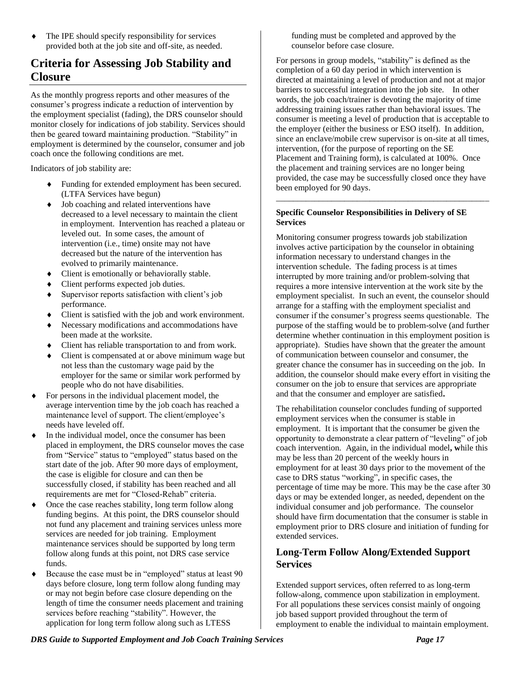The IPE should specify responsibility for services provided both at the job site and off-site, as needed.

# **Criteria for Assessing Job Stability and Closure**

As the monthly progress reports and other measures of the consumer's progress indicate a reduction of intervention by the employment specialist (fading), the DRS counselor should monitor closely for indications of job stability. Services should then be geared toward maintaining production. "Stability" in employment is determined by the counselor, consumer and job coach once the following conditions are met.

Indicators of job stability are:

- Funding for extended employment has been secured. (LTFA Services have begun)
- $\bullet$  Job coaching and related interventions have decreased to a level necessary to maintain the client in employment. Intervention has reached a plateau or leveled out. In some cases, the amount of intervention (i.e., time) onsite may not have decreased but the nature of the intervention has evolved to primarily maintenance.
- Client is emotionally or behaviorally stable.
- Client performs expected job duties.
- Supervisor reports satisfaction with client's job performance.
- Client is satisfied with the job and work environment.
- Necessary modifications and accommodations have been made at the worksite.
- Client has reliable transportation to and from work.
- Client is compensated at or above minimum wage but not less than the customary wage paid by the employer for the same or similar work performed by people who do not have disabilities.
- For persons in the individual placement model, the average intervention time by the job coach has reached a maintenance level of support. The client/employee's needs have leveled off.
- In the individual model, once the consumer has been placed in employment, the DRS counselor moves the case from "Service" status to "employed" status based on the start date of the job. After 90 more days of employment, the case is eligible for closure and can then be successfully closed, if stability has been reached and all requirements are met for "Closed-Rehab" criteria.
- Once the case reaches stability, long term follow along funding begins. At this point, the DRS counselor should not fund any placement and training services unless more services are needed for job training. Employment maintenance services should be supported by long term follow along funds at this point, not DRS case service funds.
- Because the case must be in "employed" status at least 90 days before closure, long term follow along funding may or may not begin before case closure depending on the length of time the consumer needs placement and training services before reaching "stability". However, the application for long term follow along such as LTESS

funding must be completed and approved by the counselor before case closure.

For persons in group models, "stability" is defined as the completion of a 60 day period in which intervention is directed at maintaining a level of production and not at major barriers to successful integration into the job site. In other words, the job coach/trainer is devoting the majority of time addressing training issues rather than behavioral issues. The consumer is meeting a level of production that is acceptable to the employer (either the business or ESO itself). In addition, since an enclave/mobile crew supervisor is on-site at all times, intervention, (for the purpose of reporting on the SE Placement and Training form), is calculated at 100%. Once the placement and training services are no longer being provided, the case may be successfully closed once they have been employed for 90 days.

\_\_\_\_\_\_\_\_\_\_\_\_\_\_\_\_\_\_\_\_\_\_\_\_\_\_\_\_\_\_\_\_\_\_\_\_\_\_\_\_\_\_\_\_\_\_\_\_\_\_

#### **Specific Counselor Responsibilities in Delivery of SE Services**

Monitoring consumer progress towards job stabilization involves active participation by the counselor in obtaining information necessary to understand changes in the intervention schedule. The fading process is at times interrupted by more training and/or problem-solving that requires a more intensive intervention at the work site by the employment specialist. In such an event, the counselor should arrange for a staffing with the employment specialist and consumer if the consumer's progress seems questionable. The purpose of the staffing would be to problem-solve (and further determine whether continuation in this employment position is appropriate). Studies have shown that the greater the amount of communication between counselor and consumer, the greater chance the consumer has in succeeding on the job. In addition, the counselor should make every effort in visiting the consumer on the job to ensure that services are appropriate and that the consumer and employer are satisfied**.**

The rehabilitation counselor concludes funding of supported employment services when the consumer is stable in employment. It is important that the consumer be given the opportunity to demonstrate a clear pattern of "leveling" of job coach intervention. Again, in the individual model**, w**hile this may be less than 20 percent of the weekly hours in employment for at least 30 days prior to the movement of the case to DRS status "working", in specific cases, the percentage of time may be more. This may be the case after 30 days or may be extended longer, as needed, dependent on the individual consumer and job performance. The counselor should have firm documentation that the consumer is stable in employment prior to DRS closure and initiation of funding for extended services.

#### **Long-Term Follow Along/Extended Support Services**

Extended support services, often referred to as long-term follow-along, commence upon stabilization in employment. For all populations these services consist mainly of ongoing job based support provided throughout the term of employment to enable the individual to maintain employment.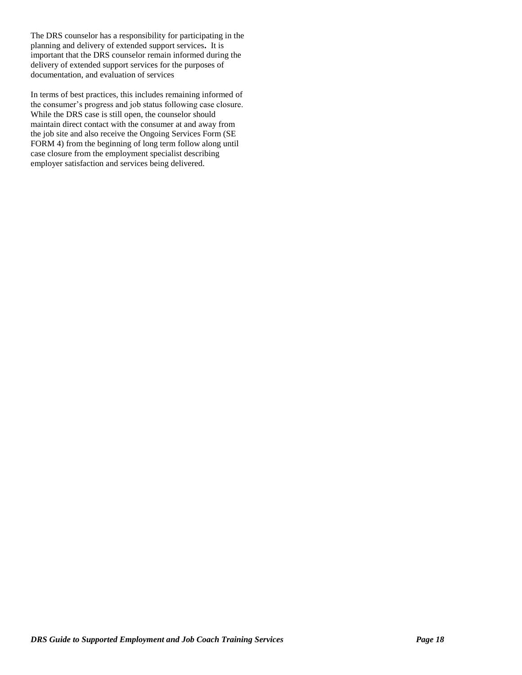The DRS counselor has a responsibility for participating in the planning and delivery of extended support services**.** It is important that the DRS counselor remain informed during the delivery of extended support services for the purposes of documentation, and evaluation of services

In terms of best practices, this includes remaining informed of the consumer's progress and job status following case closure. While the DRS case is still open, the counselor should maintain direct contact with the consumer at and away from the job site and also receive the Ongoing Services Form (SE FORM 4) from the beginning of long term follow along until case closure from the employment specialist describing employer satisfaction and services being delivered.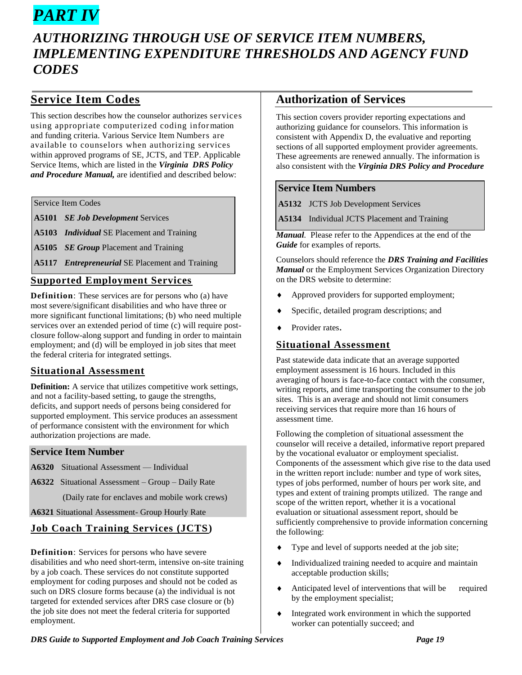# *PART IV*

# *AUTHORIZING THROUGH USE OF SERVICE ITEM NUMBERS, IMPLEMENTING EXPENDITURE THRESHOLDS AND AGENCY FUND CODES*

# **Service Item Codes**

This section describes how the counselor authorizes services using appropriate computerized coding information and funding criteria. Various Service Item Numbers are available to counselors when authorizing services within approved programs of SE, JCTS, and TEP. Applicable Service Items, which are listed in the *Virginia DRS Policy and Procedure Manual,* are identified and described below:

Service Item Codes

**A5101** *SE Job Development* Services

**A5103** *Individual* SE Placement and Training

**A5105** *SE Group* Placement and Training

**A5117** *Entrepreneurial* SE Placement and Training

#### **Supported Employment Services**

**Definition**: These services are for persons who (a) have most severe/significant disabilities and who have three or more significant functional limitations; (b) who need multiple services over an extended period of time (c) will require postclosure follow-along support and funding in order to maintain employment; and (d) will be employed in job sites that meet the federal criteria for integrated settings.

#### **Situational Assessment**

**Definition:** A service that utilizes competitive work settings, and not a facility-based setting, to gauge the strengths, deficits, and support needs of persons being considered for supported employment. This service produces an assessment of performance consistent with the environment for which authorization projections are made.

#### **Service Item Number**

- **A6320** Situational Assessment Individual
- **A6322** Situational Assessment Group Daily Rate

(Daily rate for enclaves and mobile work crews)

**A6321** Situational Assessment- Group Hourly Rate

#### **Job Coach Training Services (JCTS)**

**Definition**: Services for persons who have severe disabilities and who need short-term, intensive on-site training by a job coach. These services do not constitute supported employment for coding purposes and should not be coded as such on DRS closure forms because (a) the individual is not targeted for extended services after DRS case closure or (b) the job site does not meet the federal criteria for supported employment.

#### **Authorization of Services**

This section covers provider reporting expectations and authorizing guidance for counselors. This information is consistent with Appendix D, the evaluative and reporting sections of all supported employment provider agreements. These agreements are renewed annually. The information is also consistent with the *Virginia DRS Policy and Procedure* 

#### **Service Item Numbers**

**A5132** JCTS Job Development Services

**A5134** Individual JCTS Placement and Training

*Manual.* Please refer to the Appendices at the end of the *Guide* for examples of reports.

Counselors should reference the *DRS Training and Facilities Manual* or the Employment Services Organization Directory on the DRS website to determine:

- Approved providers for supported employment;
- Specific, detailed program descriptions; and
- Provider rates.

#### **Situational Assessment**

Past statewide data indicate that an average supported employment assessment is 16 hours. Included in this averaging of hours is face-to-face contact with the consumer, writing reports, and time transporting the consumer to the job sites. This is an average and should not limit consumers receiving services that require more than 16 hours of assessment time.

Following the completion of situational assessment the counselor will receive a detailed, informative report prepared by the vocational evaluator or employment specialist. Components of the assessment which give rise to the data used in the written report include: number and type of work sites, types of jobs performed, number of hours per work site, and types and extent of training prompts utilized. The range and scope of the written report, whether it is a vocational evaluation or situational assessment report, should be sufficiently comprehensive to provide information concerning the following:

- Type and level of supports needed at the job site;
- Individualized training needed to acquire and maintain acceptable production skills;
- Anticipated level of interventions that will be required by the employment specialist;
- Integrated work environment in which the supported worker can potentially succeed; and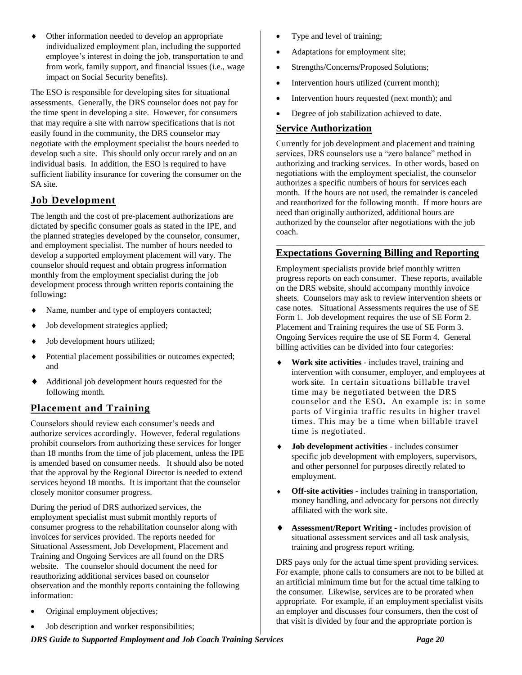Other information needed to develop an appropriate individualized employment plan, including the supported employee's interest in doing the job, transportation to and from work, family support, and financial issues (i.e., wage impact on Social Security benefits).

The ESO is responsible for developing sites for situational assessments. Generally, the DRS counselor does not pay for the time spent in developing a site. However, for consumers that may require a site with narrow specifications that is not easily found in the community, the DRS counselor may negotiate with the employment specialist the hours needed to develop such a site. This should only occur rarely and on an individual basis. In addition, the ESO is required to have sufficient liability insurance for covering the consumer on the SA site.

#### **Job Development**

The length and the cost of pre-placement authorizations are dictated by specific consumer goals as stated in the IPE, and the planned strategies developed by the counselor, consumer, and employment specialist. The number of hours needed to develop a supported employment placement will vary. The counselor should request and obtain progress information monthly from the employment specialist during the job development process through written reports containing the following**:**

- Name, number and type of employers contacted;
- Job development strategies applied;
- Job development hours utilized;
- Potential placement possibilities or outcomes expected; and
- Additional job development hours requested for the following month.

#### **Placement and Training**

Counselors should review each consumer's needs and authorize services accordingly. However, federal regulations prohibit counselors from authorizing these services for longer than 18 months from the time of job placement, unless the IPE is amended based on consumer needs. It should also be noted that the approval by the Regional Director is needed to extend services beyond 18 months. It is important that the counselor closely monitor consumer progress.

During the period of DRS authorized services, the employment specialist must submit monthly reports of consumer progress to the rehabilitation counselor along with invoices for services provided. The reports needed for Situational Assessment, Job Development, Placement and Training and Ongoing Services are all found on the DRS website. The counselor should document the need for reauthorizing additional services based on counselor observation and the monthly reports containing the following information:

- Original employment objectives;
- Job description and worker responsibilities;
- Type and level of training;
- Adaptations for employment site;
- Strengths/Concerns/Proposed Solutions;
- Intervention hours utilized (current month);
- Intervention hours requested (next month); and
- Degree of job stabilization achieved to date.

#### **Service Authorization**

Currently for job development and placement and training services, DRS counselors use a "zero balance" method in authorizing and tracking services. In other words, based on negotiations with the employment specialist, the counselor authorizes a specific numbers of hours for services each month. If the hours are not used, the remainder is canceled and reauthorized for the following month. If more hours are need than originally authorized, additional hours are authorized by the counselor after negotiations with the job coach.

#### \_\_\_\_\_\_\_\_\_\_\_\_\_\_\_\_\_\_\_\_\_\_\_\_\_\_\_\_\_\_\_\_\_\_\_\_\_\_\_\_\_\_\_\_\_\_\_\_\_ **Expectations Governing Billing and Reporting**

Employment specialists provide brief monthly written progress reports on each consumer. These reports, available on the DRS website, should accompany monthly invoice sheets. Counselors may ask to review intervention sheets or case notes. Situational Assessments requires the use of SE Form 1. Job development requires the use of SE Form 2. Placement and Training requires the use of SE Form 3. Ongoing Services require the use of SE Form 4. General billing activities can be divided into four categories:

- **Work site activities** includes travel, training and intervention with consumer, employer, and employees at work site. In certain situations billable travel time may be negotiated between the DRS counselor and the ESO**.** An example is: in some parts of Virginia traffic results in higher travel times. This may be a time when billable travel time is negotiated.
- **Job development activities** includes consumer specific job development with employers, supervisors, and other personnel for purposes directly related to employment.
- **Off-site activities** includes training in transportation, money handling, and advocacy for persons not directly affiliated with the work site.
- **Assessment/Report Writing** includes provision of situational assessment services and all task analysis, training and progress report writing.

DRS pays only for the actual time spent providing services. For example, phone calls to consumers are not to be billed at an artificial minimum time but for the actual time talking to the consumer. Likewise, services are to be prorated when appropriate. For example, if an employment specialist visits an employer and discusses four consumers, then the cost of that visit is divided by four and the appropriate portion is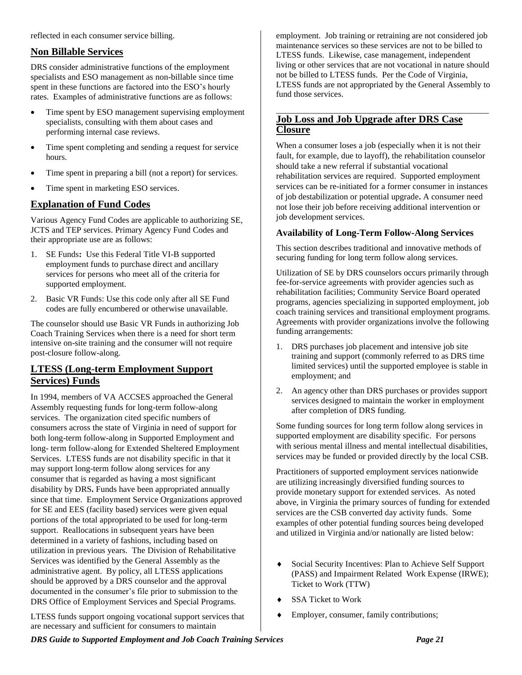reflected in each consumer service billing.

#### **Non Billable Services**

DRS consider administrative functions of the employment specialists and ESO management as non-billable since time spent in these functions are factored into the ESO's hourly rates. Examples of administrative functions are as follows:

- Time spent by ESO management supervising employment specialists, consulting with them about cases and performing internal case reviews.
- Time spent completing and sending a request for service hours.
- Time spent in preparing a bill (not a report) for services.
- Time spent in marketing ESO services.

#### **Explanation of Fund Codes**

Various Agency Fund Codes are applicable to authorizing SE, JCTS and TEP services. Primary Agency Fund Codes and their appropriate use are as follows:

- 1. SE Funds**:** Use this Federal Title VI-B supported employment funds to purchase direct and ancillary services for persons who meet all of the criteria for supported employment.
- 2. Basic VR Funds: Use this code only after all SE Fund codes are fully encumbered or otherwise unavailable.

The counselor should use Basic VR Funds in authorizing Job Coach Training Services when there is a need for short term intensive on-site training and the consumer will not require post-closure follow-along.

#### **LTESS (Long-term Employment Support Services) Funds**

In 1994, members of VA ACCSES approached the General Assembly requesting funds for long-term follow-along services. The organization cited specific numbers of consumers across the state of Virginia in need of support for both long-term follow-along in Supported Employment and long- term follow-along for Extended Sheltered Employment Services. LTESS funds are not disability specific in that it may support long-term follow along services for any consumer that is regarded as having a most significant disability by DRS**.** Funds have been appropriated annually since that time. Employment Service Organizations approved for SE and EES (facility based) services were given equal portions of the total appropriated to be used for long-term support. Reallocations in subsequent years have been determined in a variety of fashions, including based on utilization in previous years. The Division of Rehabilitative Services was identified by the General Assembly as the administrative agent. By policy, all LTESS applications should be approved by a DRS counselor and the approval documented in the consumer's file prior to submission to the DRS Office of Employment Services and Special Programs.

LTESS funds support ongoing vocational support services that are necessary and sufficient for consumers to maintain

employment. Job training or retraining are not considered job maintenance services so these services are not to be billed to LTESS funds. Likewise, case management, independent living or other services that are not vocational in nature should not be billed to LTESS funds. Per the Code of Virginia, LTESS funds are not appropriated by the General Assembly to fund those services.

#### \_\_\_\_\_\_\_\_\_\_\_\_\_\_\_\_\_\_\_\_\_\_\_\_\_\_\_\_\_\_\_\_\_\_\_\_\_\_\_\_\_\_\_\_\_\_\_\_\_\_ **Job Loss and Job Upgrade after DRS Case Closure**

When a consumer loses a job (especially when it is not their fault, for example, due to layoff), the rehabilitation counselor should take a new referral if substantial vocational rehabilitation services are required. Supported employment services can be re-initiated for a former consumer in instances of job destabilization or potential upgrade**.** A consumer need not lose their job before receiving additional intervention or job development services.

#### **Availability of Long-Term Follow-Along Services**

This section describes traditional and innovative methods of securing funding for long term follow along services.

Utilization of SE by DRS counselors occurs primarily through fee-for-service agreements with provider agencies such as rehabilitation facilities; Community Service Board operated programs, agencies specializing in supported employment, job coach training services and transitional employment programs. Agreements with provider organizations involve the following funding arrangements:

- 1. DRS purchases job placement and intensive job site training and support (commonly referred to as DRS time limited services) until the supported employee is stable in employment; and
- 2. An agency other than DRS purchases or provides support services designed to maintain the worker in employment after completion of DRS funding.

Some funding sources for long term follow along services in supported employment are disability specific. For persons with serious mental illness and mental intellectual disabilities, services may be funded or provided directly by the local CSB.

Practitioners of supported employment services nationwide are utilizing increasingly diversified funding sources to provide monetary support for extended services. As noted above, in Virginia the primary sources of funding for extended services are the CSB converted day activity funds. Some examples of other potential funding sources being developed and utilized in Virginia and/or nationally are listed below:

- Social Security Incentives: Plan to Achieve Self Support (PASS) and Impairment Related Work Expense (IRWE); Ticket to Work (TTW)
- SSA Ticket to Work
- Employer, consumer, family contributions;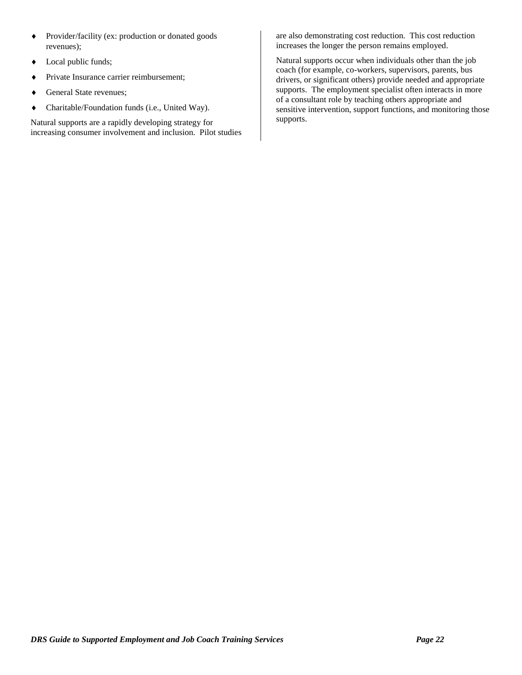- Provider/facility (ex: production or donated goods revenues);
- Local public funds;
- Private Insurance carrier reimbursement;
- General State revenues;
- Charitable/Foundation funds (i.e., United Way).

Natural supports are a rapidly developing strategy for increasing consumer involvement and inclusion. Pilot studies

are also demonstrating cost reduction. This cost reduction increases the longer the person remains employed.

Natural supports occur when individuals other than the job coach (for example, co-workers, supervisors, parents, bus drivers, or significant others) provide needed and appropriate supports. The employment specialist often interacts in more of a consultant role by teaching others appropriate and sensitive intervention, support functions, and monitoring those supports.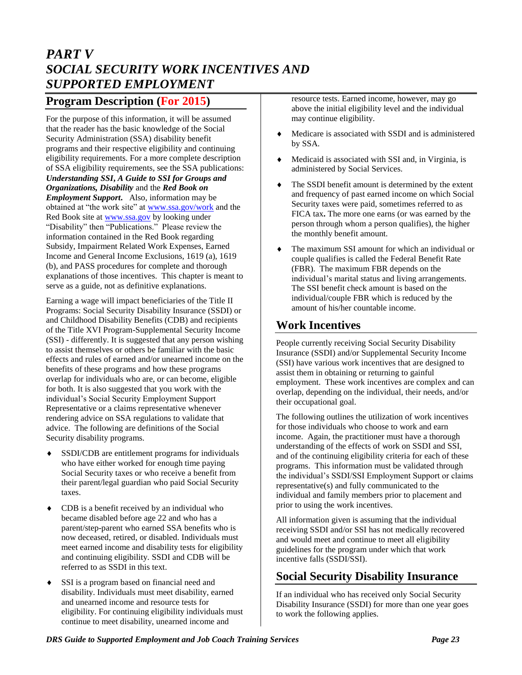# *PART V SOCIAL SECURITY WORK INCENTIVES AND SUPPORTED EMPLOYMENT*

#### **Program Description (For 2015)**

For the purpose of this information, it will be assumed that the reader has the basic knowledge of the Social Security Administration (SSA) disability benefit programs and their respective eligibility and continuing eligibility requirements. For a more complete description of SSA eligibility requirements, see the SSA publications: *Understanding SSI***,** *A Guide to SSI for Groups and Organizations, Disability* and the *Red Book on Employment Support***.** Also, information may be obtained at "the work site" at [www.ssa.gov/work](http://www.ssa.gov/work) and the Red Book site at [www.ssa.gov](http://www.ssa.gove/) by looking under "Disability" then "Publications." Please review the information contained in the Red Book regarding Subsidy, Impairment Related Work Expenses, Earned Income and General Income Exclusions, 1619 (a), 1619 (b), and PASS procedures for complete and thorough explanations of those incentives. This chapter is meant to serve as a guide, not as definitive explanations.

Earning a wage will impact beneficiaries of the Title II Programs: Social Security Disability Insurance (SSDI) or and Childhood Disability Benefits (CDB) and recipients of the Title XVI Program-Supplemental Security Income (SSI) - differently. It is suggested that any person wishing to assist themselves or others be familiar with the basic effects and rules of earned and/or unearned income on the benefits of these programs and how these programs overlap for individuals who are, or can become, eligible for both. It is also suggested that you work with the individual's Social Security Employment Support Representative or a claims representative whenever rendering advice on SSA regulations to validate that advice. The following are definitions of the Social Security disability programs.

- SSDI/CDB are entitlement programs for individuals who have either worked for enough time paying Social Security taxes or who receive a benefit from their parent/legal guardian who paid Social Security taxes.
- CDB is a benefit received by an individual who became disabled before age 22 and who has a parent/step-parent who earned SSA benefits who is now deceased, retired, or disabled. Individuals must meet earned income and disability tests for eligibility and continuing eligibility. SSDI and CDB will be referred to as SSDI in this text.
- SSI is a program based on financial need and disability. Individuals must meet disability, earned and unearned income and resource tests for eligibility. For continuing eligibility individuals must continue to meet disability, unearned income and

resource tests. Earned income, however, may go above the initial eligibility level and the individual may continue eligibility.

- Medicare is associated with SSDI and is administered by SSA.
- Medicaid is associated with SSI and, in Virginia, is administered by Social Services.
- The SSDI benefit amount is determined by the extent and frequency of past earned income on which Social Security taxes were paid, sometimes referred to as FICA tax**.** The more one earns (or was earned by the person through whom a person qualifies), the higher the monthly benefit amount.
- The maximum SSI amount for which an individual or couple qualifies is called the Federal Benefit Rate (FBR). The maximum FBR depends on the individual's marital status and living arrangements. The SSI benefit check amount is based on the individual/couple FBR which is reduced by the amount of his/her countable income.

## **Work Incentives**

People currently receiving Social Security Disability Insurance (SSDI) and/or Supplemental Security Income (SSI) have various work incentives that are designed to assist them in obtaining or returning to gainful employment. These work incentives are complex and can overlap, depending on the individual, their needs, and/or their occupational goal.

The following outlines the utilization of work incentives for those individuals who choose to work and earn income. Again, the practitioner must have a thorough understanding of the effects of work on SSDI and SSI, and of the continuing eligibility criteria for each of these programs.This information must be validated through the individual's SSDI/SSI Employment Support or claims representative(s) and fully communicated to the individual and family members prior to placement and prior to using the work incentives.

All information given is assuming that the individual receiving SSDI and/or SSI has not medically recovered and would meet and continue to meet all eligibility guidelines for the program under which that work incentive falls (SSDI/SSI).

## **Social Security Disability Insurance**

If an individual who has received only Social Security Disability Insurance (SSDI) for more than one year goes to work the following applies.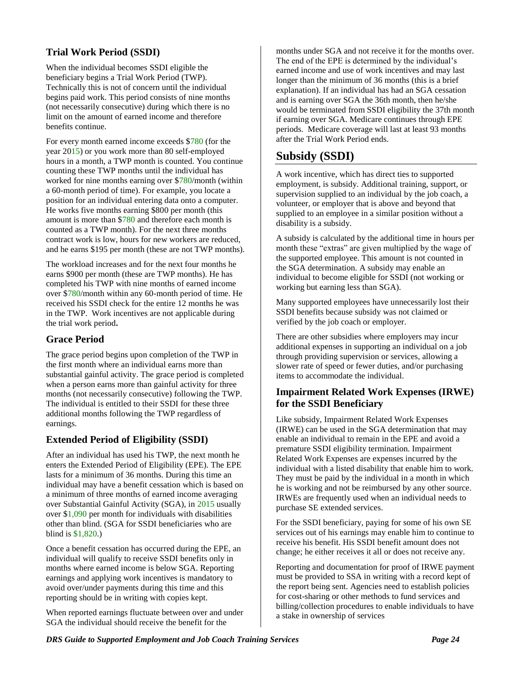#### **Trial Work Period (SSDI)**

When the individual becomes SSDI eligible the beneficiary begins a Trial Work Period (TWP). Technically this is not of concern until the individual begins paid work. This period consists of nine months (not necessarily consecutive) during which there is no limit on the amount of earned income and therefore benefits continue.

For every month earned income exceeds \$780 (for the year 2015) or you work more than 80 self-employed hours in a month, a TWP month is counted. You continue counting these TWP months until the individual has worked for nine months earning over \$780/month (within a 60-month period of time). For example, you locate a position for an individual entering data onto a computer. He works five months earning \$800 per month (this amount is more than \$780 and therefore each month is counted as a TWP month). For the next three months contract work is low, hours for new workers are reduced, and he earns \$195 per month (these are not TWP months).

The workload increases and for the next four months he earns \$900 per month (these are TWP months). He has completed his TWP with nine months of earned income over \$780/month within any 60-month period of time. He received his SSDI check for the entire 12 months he was in the TWP. Work incentives are not applicable during the trial work period**.**

#### **Grace Period**

The grace period begins upon completion of the TWP in the first month where an individual earns more than substantial gainful activity. The grace period is completed when a person earns more than gainful activity for three months (not necessarily consecutive) following the TWP. The individual is entitled to their SSDI for these three additional months following the TWP regardless of earnings.

#### **Extended Period of Eligibility (SSDI)**

After an individual has used his TWP, the next month he enters the Extended Period of Eligibility (EPE). The EPE lasts for a minimum of 36 months. During this time an individual may have a benefit cessation which is based on a minimum of three months of earned income averaging over Substantial Gainful Activity (SGA), in 2015 usually over \$1,090 per month for individuals with disabilities other than blind. (SGA for SSDI beneficiaries who are blind is \$1,820.)

Once a benefit cessation has occurred during the EPE, an individual will qualify to receive SSDI benefits only in months where earned income is below SGA. Reporting earnings and applying work incentives is mandatory to avoid over/under payments during this time and this reporting should be in writing with copies kept.

When reported earnings fluctuate between over and under SGA the individual should receive the benefit for the

months under SGA and not receive it for the months over. The end of the EPE is determined by the individual's earned income and use of work incentives and may last longer than the minimum of 36 months (this is a brief explanation). If an individual has had an SGA cessation and is earning over SGA the 36th month, then he/she would be terminated from SSDI eligibility the 37th month if earning over SGA. Medicare continues through EPE periods. Medicare coverage will last at least 93 months after the Trial Work Period ends.

# **Subsidy (SSDI)**

A work incentive, which has direct ties to supported employment, is subsidy. Additional training, support, or supervision supplied to an individual by the job coach, a volunteer, or employer that is above and beyond that supplied to an employee in a similar position without a disability is a subsidy.

A subsidy is calculated by the additional time in hours per month these "extras" are given multiplied by the wage of the supported employee. This amount is not counted in the SGA determination. A subsidy may enable an individual to become eligible for SSDI (not working or working but earning less than SGA).

Many supported employees have unnecessarily lost their SSDI benefits because subsidy was not claimed or verified by the job coach or employer.

There are other subsidies where employers may incur additional expenses in supporting an individual on a job through providing supervision or services, allowing a slower rate of speed or fewer duties, and/or purchasing items to accommodate the individual.

#### **Impairment Related Work Expenses (IRWE) for the SSDI Beneficiary**

Like subsidy, Impairment Related Work Expenses (IRWE) can be used in the SGA determination that may enable an individual to remain in the EPE and avoid a premature SSDI eligibility termination. Impairment Related Work Expenses are expenses incurred by the individual with a listed disability that enable him to work. They must be paid by the individual in a month in which he is working and not be reimbursed by any other source. IRWEs are frequently used when an individual needs to purchase SE extended services.

For the SSDI beneficiary, paying for some of his own SE services out of his earnings may enable him to continue to receive his benefit. His SSDI benefit amount does not change; he either receives it all or does not receive any.

Reporting and documentation for proof of IRWE payment must be provided to SSA in writing with a record kept of the report being sent. Agencies need to establish policies for cost-sharing or other methods to fund services and billing/collection procedures to enable individuals to have a stake in ownership of services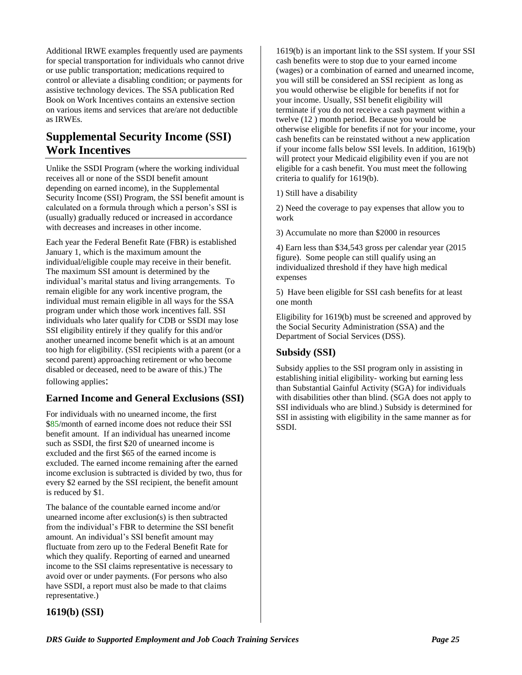Additional IRWE examples frequently used are payments for special transportation for individuals who cannot drive or use public transportation; medications required to control or alleviate a disabling condition; or payments for assistive technology devices. The SSA publication Red Book on Work Incentives contains an extensive section on various items and services that are/are not deductible as IRWEs.

# **Supplemental Security Income (SSI) Work Incentives**

Unlike the SSDI Program (where the working individual receives all or none of the SSDI benefit amount depending on earned income), in the Supplemental Security Income (SSI) Program, the SSI benefit amount is calculated on a formula through which a person's SSI is (usually) gradually reduced or increased in accordance with decreases and increases in other income.

Each year the Federal Benefit Rate (FBR) is established January 1, which is the maximum amount the individual/eligible couple may receive in their benefit. The maximum SSI amount is determined by the individual's marital status and living arrangements. To remain eligible for any work incentive program, the individual must remain eligible in all ways for the SSA program under which those work incentives fall. SSI individuals who later qualify for CDB or SSDI may lose SSI eligibility entirely if they qualify for this and/or another unearned income benefit which is at an amount too high for eligibility. (SSI recipients with a parent (or a second parent) approaching retirement or who become disabled or deceased, need to be aware of this.) The following applies:

#### **Earned Income and General Exclusions (SSI)**

For individuals with no unearned income, the first \$85/month of earned income does not reduce their SSI benefit amount. If an individual has unearned income such as SSDI, the first \$20 of unearned income is excluded and the first \$65 of the earned income is excluded. The earned income remaining after the earned income exclusion is subtracted is divided by two, thus for every \$2 earned by the SSI recipient, the benefit amount is reduced by \$1.

The balance of the countable earned income and/or unearned income after exclusion(s) is then subtracted from the individual's FBR to determine the SSI benefit amount. An individual's SSI benefit amount may fluctuate from zero up to the Federal Benefit Rate for which they qualify. Reporting of earned and unearned income to the SSI claims representative is necessary to avoid over or under payments. (For persons who also have SSDI, a report must also be made to that claims representative.)

**1619(b) (SSI)**

1619(b) is an important link to the SSI system. If your SSI cash benefits were to stop due to your earned income (wages) or a combination of earned and unearned income, you will still be considered an SSI recipient as long as you would otherwise be eligible for benefits if not for your income. Usually, SSI benefit eligibility will terminate if you do not receive a cash payment within a twelve (12 ) month period. Because you would be otherwise eligible for benefits if not for your income, your cash benefits can be reinstated without a new application if your income falls below SSI levels. In addition, 1619(b) will protect your Medicaid eligibility even if you are not eligible for a cash benefit. You must meet the following criteria to qualify for 1619(b).

1) Still have a disability

2) Need the coverage to pay expenses that allow you to work

3) Accumulate no more than \$2000 in resources

4) Earn less than \$34,543 gross per calendar year (2015 figure). Some people can still qualify using an individualized threshold if they have high medical expenses

5) Have been eligible for SSI cash benefits for at least one month

Eligibility for 1619(b) must be screened and approved by the Social Security Administration (SSA) and the Department of Social Services (DSS).

#### **Subsidy (SSI)**

Subsidy applies to the SSI program only in assisting in establishing initial eligibility- working but earning less than Substantial Gainful Activity (SGA) for individuals with disabilities other than blind. (SGA does not apply to SSI individuals who are blind.) Subsidy is determined for SSI in assisting with eligibility in the same manner as for SSDI.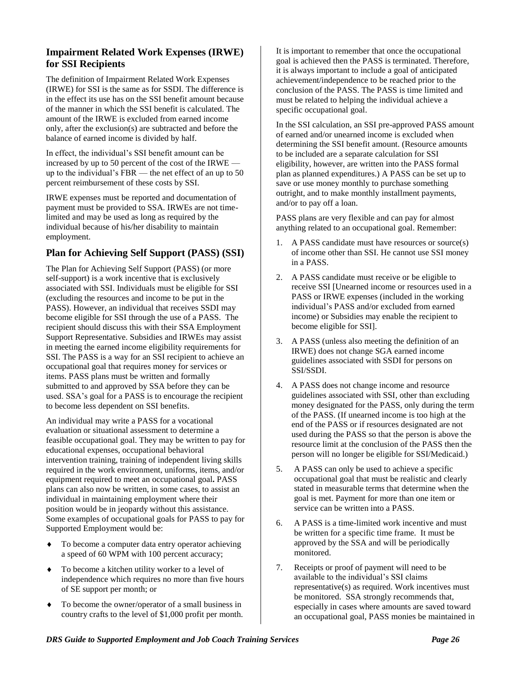#### **Impairment Related Work Expenses (IRWE) for SSI Recipients**

The definition of Impairment Related Work Expenses (IRWE) for SSI is the same as for SSDI. The difference is in the effect its use has on the SSI benefit amount because of the manner in which the SSI benefit is calculated. The amount of the IRWE is excluded from earned income only, after the exclusion(s) are subtracted and before the balance of earned income is divided by half.

In effect, the individual's SSI benefit amount can be increased by up to 50 percent of the cost of the IRWE up to the individual's FBR — the net effect of an up to 50 percent reimbursement of these costs by SSI.

IRWE expenses must be reported and documentation of payment must be provided to SSA. IRWEs are not timelimited and may be used as long as required by the individual because of his/her disability to maintain employment.

#### **Plan for Achieving Self Support (PASS) (SSI)**

The Plan for Achieving Self Support (PASS) (or more self-support) is a work incentive that is exclusively associated with SSI. Individuals must be eligible for SSI (excluding the resources and income to be put in the PASS). However, an individual that receives SSDI may become eligible for SSI through the use of a PASS. The recipient should discuss this with their SSA Employment Support Representative. Subsidies and IRWEs may assist in meeting the earned income eligibility requirements for SSI. The PASS is a way for an SSI recipient to achieve an occupational goal that requires money for services or items. PASS plans must be written and formally submitted to and approved by SSA before they can be used. SSA's goal for a PASS is to encourage the recipient to become less dependent on SSI benefits.

An individual may write a PASS for a vocational evaluation or situational assessment to determine a feasible occupational goal. They may be written to pay for educational expenses, occupational behavioral intervention training, training of independent living skills required in the work environment, uniforms, items, and/or equipment required to meet an occupational goal**.** PASS plans can also now be written, in some cases, to assist an individual in maintaining employment where their position would be in jeopardy without this assistance. Some examples of occupational goals for PASS to pay for Supported Employment would be:

- To become a computer data entry operator achieving a speed of 60 WPM with 100 percent accuracy;
- To become a kitchen utility worker to a level of independence which requires no more than five hours of SE support per month; or
- To become the owner/operator of a small business in country crafts to the level of \$1,000 profit per month.

It is important to remember that once the occupational goal is achieved then the PASS is terminated. Therefore, it is always important to include a goal of anticipated achievement/independence to be reached prior to the conclusion of the PASS. The PASS is time limited and must be related to helping the individual achieve a specific occupational goal.

In the SSI calculation, an SSI pre-approved PASS amount of earned and/or unearned income is excluded when determining the SSI benefit amount. (Resource amounts to be included are a separate calculation for SSI eligibility, however, are written into the PASS formal plan as planned expenditures.) A PASS can be set up to save or use money monthly to purchase something outright, and to make monthly installment payments, and/or to pay off a loan.

PASS plans are very flexible and can pay for almost anything related to an occupational goal. Remember:

- 1. A PASS candidate must have resources or source(s) of income other than SSI. He cannot use SSI money in a PASS.
- 2. A PASS candidate must receive or be eligible to receive SSI [Unearned income or resources used in a PASS or IRWE expenses (included in the working individual's PASS and/or excluded from earned income) or Subsidies may enable the recipient to become eligible for SSI].
- 3. A PASS (unless also meeting the definition of an IRWE) does not change SGA earned income guidelines associated with SSDI for persons on SSI/SSDI.
- 4. A PASS does not change income and resource guidelines associated with SSI, other than excluding money designated for the PASS, only during the term of the PASS. (If unearned income is too high at the end of the PASS or if resources designated are not used during the PASS so that the person is above the resource limit at the conclusion of the PASS then the person will no longer be eligible for SSI/Medicaid.)
- 5. A PASS can only be used to achieve a specific occupational goal that must be realistic and clearly stated in measurable terms that determine when the goal is met. Payment for more than one item or service can be written into a PASS.
- 6. A PASS is a time-limited work incentive and must be written for a specific time frame. It must be approved by the SSA and will be periodically monitored.
- 7. Receipts or proof of payment will need to be available to the individual's SSI claims representative(s) as required. Work incentives must be monitored. SSA strongly recommends that, especially in cases where amounts are saved toward an occupational goal, PASS monies be maintained in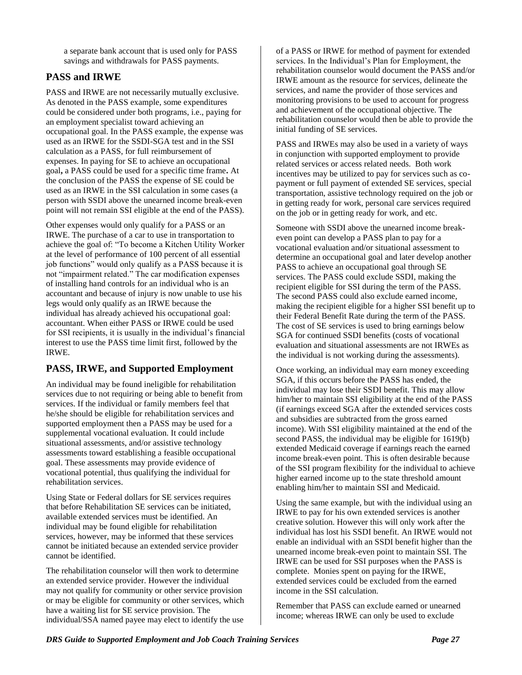a separate bank account that is used only for PASS savings and withdrawals for PASS payments.

#### **PASS and IRWE**

PASS and IRWE are not necessarily mutually exclusive. As denoted in the PASS example, some expenditures could be considered under both programs, i.e., paying for an employment specialist toward achieving an occupational goal. In the PASS example, the expense was used as an IRWE for the SSDI-SGA test and in the SSI calculation as a PASS, for full reimbursement of expenses. In paying for SE to achieve an occupational goal**,** a PASS could be used for a specific time frame**.** At the conclusion of the PASS the expense of SE could be used as an IRWE in the SSI calculation in some cases (a person with SSDI above the unearned income break-even point will not remain SSI eligible at the end of the PASS).

Other expenses would only qualify for a PASS or an IRWE. The purchase of a car to use in transportation to achieve the goal of: "To become a Kitchen Utility Worker at the level of performance of 100 percent of all essential job functions" would only qualify as a PASS because it is not "impairment related." The car modification expenses of installing hand controls for an individual who is an accountant and because of injury is now unable to use his legs would only qualify as an IRWE because the individual has already achieved his occupational goal: accountant. When either PASS or IRWE could be used for SSI recipients, it is usually in the individual's financial interest to use the PASS time limit first, followed by the IRWE.

#### **PASS, IRWE, and Supported Employment**

An individual may be found ineligible for rehabilitation services due to not requiring or being able to benefit from services. If the individual or family members feel that he/she should be eligible for rehabilitation services and supported employment then a PASS may be used for a supplemental vocational evaluation. It could include situational assessments, and/or assistive technology assessments toward establishing a feasible occupational goal. These assessments may provide evidence of vocational potential, thus qualifying the individual for rehabilitation services.

Using State or Federal dollars for SE services requires that before Rehabilitation SE services can be initiated, available extended services must be identified. An individual may be found eligible for rehabilitation services, however, may be informed that these services cannot be initiated because an extended service provider cannot be identified.

The rehabilitation counselor will then work to determine an extended service provider. However the individual may not qualify for community or other service provision or may be eligible for community or other services, which have a waiting list for SE service provision. The individual/SSA named payee may elect to identify the use

of a PASS or IRWE for method of payment for extended services. In the Individual's Plan for Employment, the rehabilitation counselor would document the PASS and/or IRWE amount as the resource for services, delineate the services, and name the provider of those services and monitoring provisions to be used to account for progress and achievement of the occupational objective. The rehabilitation counselor would then be able to provide the initial funding of SE services.

PASS and IRWEs may also be used in a variety of ways in conjunction with supported employment to provide related services or access related needs. Both work incentives may be utilized to pay for services such as copayment or full payment of extended SE services, special transportation, assistive technology required on the job or in getting ready for work, personal care services required on the job or in getting ready for work, and etc.

Someone with SSDI above the unearned income breakeven point can develop a PASS plan to pay for a vocational evaluation and/or situational assessment to determine an occupational goal and later develop another PASS to achieve an occupational goal through SE services. The PASS could exclude SSDI, making the recipient eligible for SSI during the term of the PASS. The second PASS could also exclude earned income, making the recipient eligible for a higher SSI benefit up to their Federal Benefit Rate during the term of the PASS. The cost of SE services is used to bring earnings below SGA for continued SSDI benefits (costs of vocational evaluation and situational assessments are not IRWEs as the individual is not working during the assessments).

Once working, an individual may earn money exceeding SGA, if this occurs before the PASS has ended, the individual may lose their SSDI benefit. This may allow him/her to maintain SSI eligibility at the end of the PASS (if earnings exceed SGA after the extended services costs and subsidies are subtracted from the gross earned income). With SSI eligibility maintained at the end of the second PASS, the individual may be eligible for 1619(b) extended Medicaid coverage if earnings reach the earned income break-even point. This is often desirable because of the SSI program flexibility for the individual to achieve higher earned income up to the state threshold amount enabling him/her to maintain SSI and Medicaid.

Using the same example, but with the individual using an IRWE to pay for his own extended services is another creative solution. However this will only work after the individual has lost his SSDI benefit. An IRWE would not enable an individual with an SSDI benefit higher than the unearned income break-even point to maintain SSI. The IRWE can be used for SSI purposes when the PASS is complete. Monies spent on paying for the IRWE, extended services could be excluded from the earned income in the SSI calculation.

Remember that PASS can exclude earned or unearned income; whereas IRWE can only be used to exclude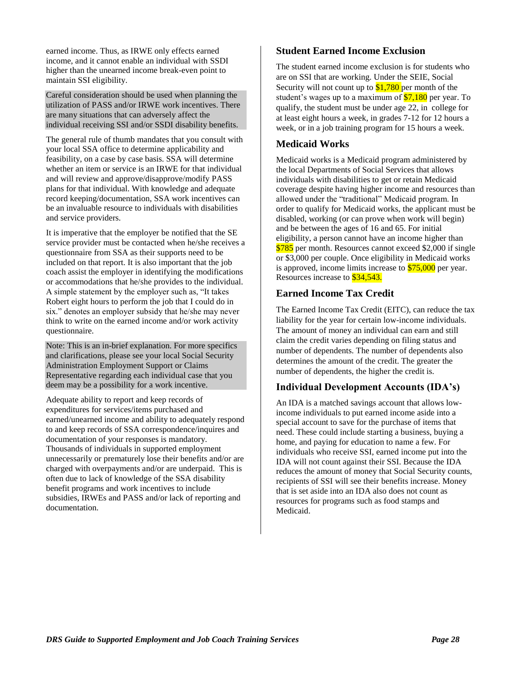earned income. Thus, as IRWE only effects earned income, and it cannot enable an individual with SSDI higher than the unearned income break-even point to maintain SSI eligibility.

Careful consideration should be used when planning the utilization of PASS and/or IRWE work incentives. There are many situations that can adversely affect the individual receiving SSI and/or SSDI disability benefits.

The general rule of thumb mandates that you consult with your local SSA office to determine applicability and feasibility, on a case by case basis. SSA will determine whether an item or service is an IRWE for that individual and will review and approve/disapprove/modify PASS plans for that individual. With knowledge and adequate record keeping/documentation, SSA work incentives can be an invaluable resource to individuals with disabilities and service providers.

It is imperative that the employer be notified that the SE service provider must be contacted when he/she receives a questionnaire from SSA as their supports need to be included on that report. It is also important that the job coach assist the employer in identifying the modifications or accommodations that he/she provides to the individual. A simple statement by the employer such as, "It takes Robert eight hours to perform the job that I could do in six." denotes an employer subsidy that he/she may never think to write on the earned income and/or work activity questionnaire.

Note: This is an in-brief explanation. For more specifics and clarifications, please see your local Social Security Administration Employment Support or Claims Representative regarding each individual case that you deem may be a possibility for a work incentive.

Adequate ability to report and keep records of expenditures for services/items purchased and earned/unearned income and ability to adequately respond to and keep records of SSA correspondence/inquires and documentation of your responses is mandatory. Thousands of individuals in supported employment unnecessarily or prematurely lose their benefits and/or are charged with overpayments and/or are underpaid. This is often due to lack of knowledge of the SSA disability benefit programs and work incentives to include subsidies, IRWEs and PASS and/or lack of reporting and documentation.

#### **Student Earned Income Exclusion**

The student earned income exclusion is for students who are on SSI that are working. Under the SEIE, Social Security will not count up to  $$1,780$  per month of the student's wages up to a maximum of  $$7,180$  per year. To qualify, the student must be under age 22, in college for at least eight hours a week, in grades 7-12 for 12 hours a week, or in a job training program for 15 hours a week.

#### **Medicaid Works**

Medicaid works is a Medicaid program administered by the local Departments of Social Services that allows individuals with disabilities to get or retain Medicaid coverage despite having higher income and resources than allowed under the "traditional" Medicaid program. In order to qualify for Medicaid works, the applicant must be disabled, working (or can prove when work will begin) and be between the ages of 16 and 65. For initial eligibility, a person cannot have an income higher than \$785 per month. Resources cannot exceed \$2,000 if single or \$3,000 per couple. Once eligibility in Medicaid works is approved, income limits increase to \$75,000 per year. Resources increase to \$34,543.

#### **Earned Income Tax Credit**

The Earned Income Tax Credit (EITC), can reduce the tax liability for the year for certain low-income individuals. The amount of money an individual can earn and still claim the credit varies depending on filing status and number of dependents. The number of dependents also determines the amount of the credit. The greater the number of dependents, the higher the credit is.

#### **Individual Development Accounts (IDA's)**

An IDA is a matched savings account that allows lowincome individuals to put earned income aside into a special account to save for the purchase of items that need. These could include starting a business, buying a home, and paying for education to name a few. For individuals who receive SSI, earned income put into the IDA will not count against their SSI. Because the IDA reduces the amount of money that Social Security counts, recipients of SSI will see their benefits increase. Money that is set aside into an IDA also does not count as resources for programs such as food stamps and Medicaid.